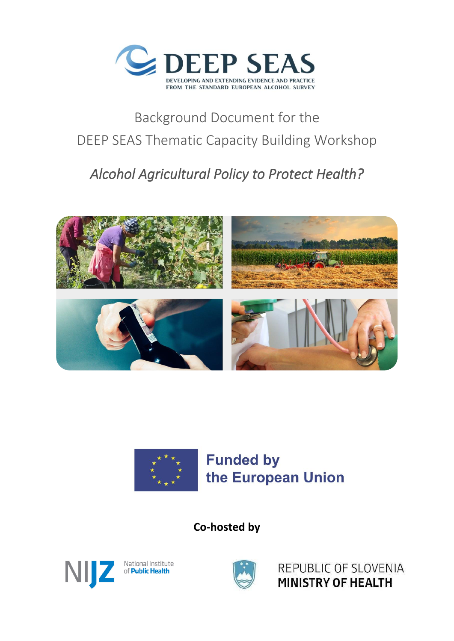

# Background Document for the DEEP SEAS Thematic Capacity Building Workshop

# *Alcohol Agricultural Policy to Protect Health?*





**Co-hosted by**





REPUBLIC OF SLOVENIA MINISTRY OF HEALTH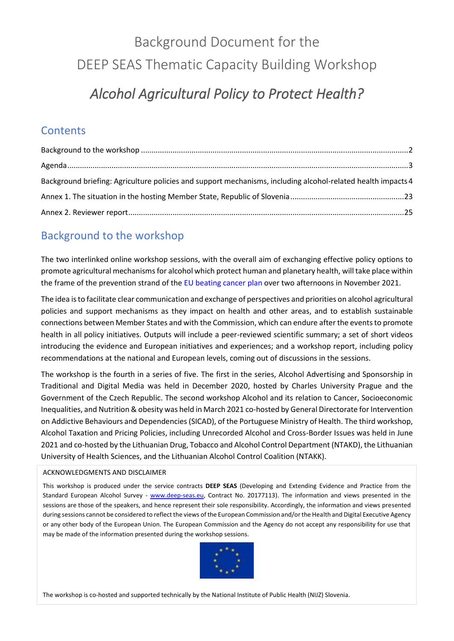# Background Document for the DEEP SEAS Thematic Capacity Building Workshop

# *Alcohol Agricultural Policy to Protect Health?*

# **Contents**

| Background briefing: Agriculture policies and support mechanisms, including alcohol-related health impacts 4 |  |
|--------------------------------------------------------------------------------------------------------------|--|
|                                                                                                              |  |
|                                                                                                              |  |

# <span id="page-1-0"></span>Background to the workshop

The two interlinked online workshop sessions, with the overall aim of exchanging effective policy options to promote agricultural mechanisms for alcohol which protect human and planetary health, will take place within the frame of the prevention strand of the EU beating cancer plan over two afternoons in November 2021.

The idea is to facilitate clear communication and exchange of perspectives and priorities on alcohol agricultural policies and support mechanisms as they impact on health and other areas, and to establish sustainable connections between Member States and with the Commission, which can endure after the events to promote health in all policy initiatives. Outputs will include a peer-reviewed scientific summary; a set of short videos introducing the evidence and European initiatives and experiences; and a workshop report, including policy recommendations at the national and European levels, coming out of discussions in the sessions.

The workshop is the fourth in a series of five. The first in the series, Alcohol Advertising and Sponsorship in Traditional and Digital Media was held in December 2020, hosted by Charles University Prague and the Government of the Czech Republic. The second workshop Alcohol and its relation to Cancer, Socioeconomic Inequalities, and Nutrition & obesity was held in March 2021 co-hosted by General Directorate for Intervention on Addictive Behaviours and Dependencies (SICAD), of the Portuguese Ministry of Health. The third workshop, Alcohol Taxation and Pricing Policies, including Unrecorded Alcohol and Cross-Border Issues was held in June 2021 and co-hosted by the Lithuanian Drug, Tobacco and Alcohol Control Department (NTAKD), the Lithuanian University of Health Sciences, and the Lithuanian Alcohol Control Coalition (NTAKK).

### ACKNOWLEDGMENTS AND DISCLAIMER

This workshop is produced under the service contracts **DEEP SEAS** (Developing and Extending Evidence and Practice from the Standard European Alcohol Survey - [www.deep-seas.eu,](http://www.deep-seas.eu/) Contract No. 20177113). The information and views presented in the sessions are those of the speakers, and hence represent their sole responsibility. Accordingly, the information and views presented during sessions cannot be considered to reflect the views of the European Commission and/or the Health and Digital Executive Agency or any other body of the European Union. The European Commission and the Agency do not accept any responsibility for use that may be made of the information presented during the workshop sessions.



nted technically builde. Notional Institute of Dublic Uselth *Alcohol Agricultural Policy to Protect Health?* The workshop is co-hosted and supported technically by the National Institute of Public Health (NIJZ) Slovenia.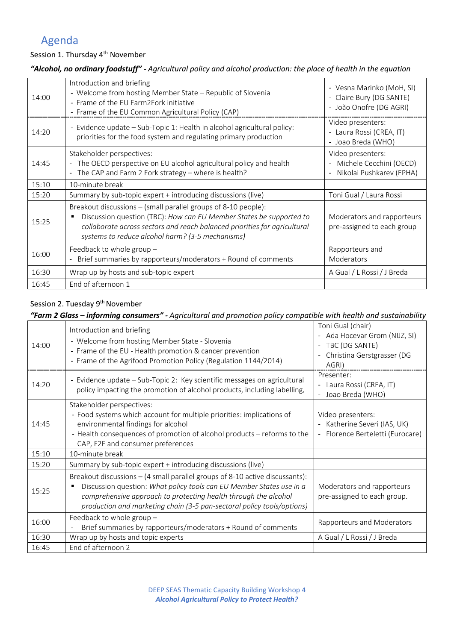# <span id="page-2-0"></span>Agenda

## Session 1. Thursday 4<sup>th</sup> November

## *"Alcohol, no ordinary foodstuff" - Agricultural policy and alcohol production: the place of health in the equation*

| 14:00 | Introduction and briefing<br>- Welcome from hosting Member State - Republic of Slovenia<br>- Frame of the EU Farm2Fork initiative<br>- Frame of the EU Common Agricultural Policy (CAP)                                                                                | - Vesna Marinko (MoH, SI)<br>- Claire Bury (DG SANTE)<br>- João Onofre (DG AGRI) |
|-------|------------------------------------------------------------------------------------------------------------------------------------------------------------------------------------------------------------------------------------------------------------------------|----------------------------------------------------------------------------------|
| 14:20 | - Evidence update – Sub-Topic 1: Health in alcohol agricultural policy:<br>priorities for the food system and regulating primary production                                                                                                                            | Video presenters:<br>- Laura Rossi (CREA, IT)<br>- Joao Breda (WHO)              |
| 14:45 | Stakeholder perspectives:<br>- The OECD perspective on EU alcohol agricultural policy and health<br>- The CAP and Farm 2 Fork strategy - where is health?                                                                                                              | Video presenters:<br>- Michele Cecchini (OECD)<br>Nikolai Pushkarev (EPHA)       |
| 15:10 | 10-minute break                                                                                                                                                                                                                                                        |                                                                                  |
| 15:20 | Summary by sub-topic expert + introducing discussions (live)                                                                                                                                                                                                           | Toni Gual / Laura Rossi                                                          |
| 15:25 | Breakout discussions – (small parallel groups of 8-10 people):<br>Discussion question (TBC): How can EU Member States be supported to<br>collaborate across sectors and reach balanced priorities for agricultural<br>systems to reduce alcohol harm? (3-5 mechanisms) | Moderators and rapporteurs<br>pre-assigned to each group                         |
| 16:00 | Feedback to whole group -<br>Brief summaries by rapporteurs/moderators + Round of comments                                                                                                                                                                             | Rapporteurs and<br>Moderators                                                    |
| 16:30 | Wrap up by hosts and sub-topic expert                                                                                                                                                                                                                                  | A Gual / L Rossi / J Breda                                                       |
| 16:45 | End of afternoon 1                                                                                                                                                                                                                                                     |                                                                                  |

#### Session 2. Tuesday 9<sup>th</sup> November

## *"Farm 2 Glass – informing consumers" - Agricultural and promotion policy compatible with health and sustainability*

| 14:00 | Introduction and briefing<br>- Welcome from hosting Member State - Slovenia<br>- Frame of the EU - Health promotion & cancer prevention<br>- Frame of the Agrifood Promotion Policy (Regulation 1144/2014)                                                                                          | Toni Gual (chair)<br>Ada Hocevar Grom (NIJZ, SI)<br>TBC (DG SANTE)<br>Christina Gerstgrasser (DG<br>AGRI) |
|-------|-----------------------------------------------------------------------------------------------------------------------------------------------------------------------------------------------------------------------------------------------------------------------------------------------------|-----------------------------------------------------------------------------------------------------------|
| 14:20 | - Evidence update – Sub-Topic 2: Key scientific messages on agricultural<br>policy impacting the promotion of alcohol products, including labelling.                                                                                                                                                | Presenter:<br>- Laura Rossi (CREA, IT)<br>Joao Breda (WHO)                                                |
| 14:45 | Stakeholder perspectives:<br>- Food systems which account for multiple priorities: implications of<br>environmental findings for alcohol<br>- Health consequences of promotion of alcohol products – reforms to the<br>CAP, F2F and consumer preferences                                            | Video presenters:<br>- Katherine Severi (IAS, UK)<br>- Florence Berteletti (Eurocare)                     |
| 15:10 | 10-minute break                                                                                                                                                                                                                                                                                     |                                                                                                           |
| 15:20 | Summary by sub-topic expert + introducing discussions (live)                                                                                                                                                                                                                                        |                                                                                                           |
| 15:25 | Breakout discussions $-$ (4 small parallel groups of 8-10 active discussants):<br>Discussion question: What policy tools can EU Member States use in a<br>comprehensive approach to protecting health through the alcohol<br>production and marketing chain (3-5 pan-sectoral policy tools/options) | Moderators and rapporteurs<br>pre-assigned to each group.                                                 |
| 16:00 | Feedback to whole group -<br>Brief summaries by rapporteurs/moderators + Round of comments                                                                                                                                                                                                          | Rapporteurs and Moderators                                                                                |
| 16:30 | Wrap up by hosts and topic experts                                                                                                                                                                                                                                                                  | A Gual / L Rossi / J Breda                                                                                |
| 16:45 | End of afternoon 2                                                                                                                                                                                                                                                                                  |                                                                                                           |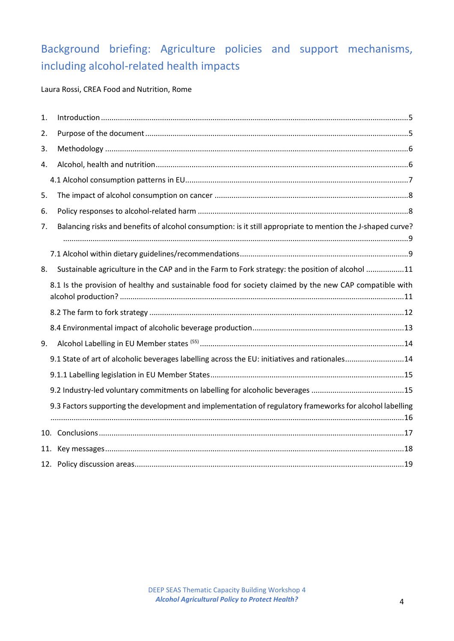# <span id="page-3-0"></span>Background briefing: Agriculture policies and support mechanisms, including alcohol-related health impacts

Laura Rossi, CREA Food and Nutrition, Rome

| 1.  |                                                                                                             |
|-----|-------------------------------------------------------------------------------------------------------------|
| 2.  |                                                                                                             |
| 3.  |                                                                                                             |
| 4.  |                                                                                                             |
|     |                                                                                                             |
| 5.  |                                                                                                             |
| 6.  |                                                                                                             |
| 7.  | Balancing risks and benefits of alcohol consumption: is it still appropriate to mention the J-shaped curve? |
|     |                                                                                                             |
| 8.  | Sustainable agriculture in the CAP and in the Farm to Fork strategy: the position of alcohol 11             |
|     | 8.1 Is the provision of healthy and sustainable food for society claimed by the new CAP compatible with     |
|     |                                                                                                             |
|     |                                                                                                             |
| 9.  |                                                                                                             |
|     | 9.1 State of art of alcoholic beverages labelling across the EU: initiatives and rationales14               |
|     |                                                                                                             |
|     |                                                                                                             |
|     | 9.3 Factors supporting the development and implementation of regulatory frameworks for alcohol labelling    |
|     |                                                                                                             |
| 11. |                                                                                                             |
|     |                                                                                                             |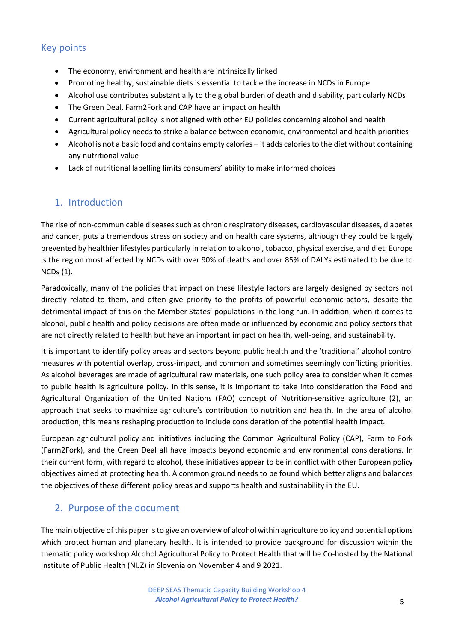# Key points

- The economy, environment and health are intrinsically linked
- Promoting healthy, sustainable diets is essential to tackle the increase in NCDs in Europe
- Alcohol use contributes substantially to the global burden of death and disability, particularly NCDs
- The Green Deal, Farm2Fork and CAP have an impact on health
- Current agricultural policy is not aligned with other EU policies concerning alcohol and health
- Agricultural policy needs to strike a balance between economic, environmental and health priorities
- Alcohol is not a basic food and contains empty calories it adds calories to the diet without containing any nutritional value
- Lack of nutritional labelling limits consumers' ability to make informed choices

## <span id="page-4-0"></span>1. Introduction

The rise of non-communicable diseases such as chronic respiratory diseases, cardiovascular diseases, diabetes and cancer, puts a tremendous stress on society and on health care systems, although they could be largely prevented by healthier lifestyles particularly in relation to alcohol, tobacco, physical exercise, and diet. Europe is the region most affected by NCDs with over 90% of deaths and over 85% of DALYs estimated to be due to NCDs (1).

Paradoxically, many of the policies that impact on these lifestyle factors are largely designed by sectors not directly related to them, and often give priority to the profits of powerful economic actors, despite the detrimental impact of this on the Member States' populations in the long run. In addition, when it comes to alcohol, public health and policy decisions are often made or influenced by economic and policy sectors that are not directly related to health but have an important impact on health, well-being, and sustainability.

It is important to identify policy areas and sectors beyond public health and the 'traditional' alcohol control measures with potential overlap, cross-impact, and common and sometimes seemingly conflicting priorities. As alcohol beverages are made of agricultural raw materials, one such policy area to consider when it comes to public health is agriculture policy. In this sense, it is important to take into consideration the Food and Agricultural Organization of the United Nations (FAO) concept of Nutrition-sensitive agriculture (2), an approach that seeks to maximize agriculture's contribution to nutrition and health. In the area of alcohol production, this means reshaping production to include consideration of the potential health impact.

European agricultural policy and initiatives including the Common Agricultural Policy (CAP), Farm to Fork (Farm2Fork), and the Green Deal all have impacts beyond economic and environmental considerations. In their current form, with regard to alcohol, these initiatives appear to be in conflict with other European policy objectives aimed at protecting health. A common ground needs to be found which better aligns and balances the objectives of these different policy areas and supports health and sustainability in the EU.

## <span id="page-4-1"></span>2. Purpose of the document

The main objective of this paper is to give an overview of alcohol within agriculture policy and potential options which protect human and planetary health. It is intended to provide background for discussion within the thematic policy workshop Alcohol Agricultural Policy to Protect Health that will be Co-hosted by the National Institute of Public Health (NIJZ) in Slovenia on November 4 and 9 2021.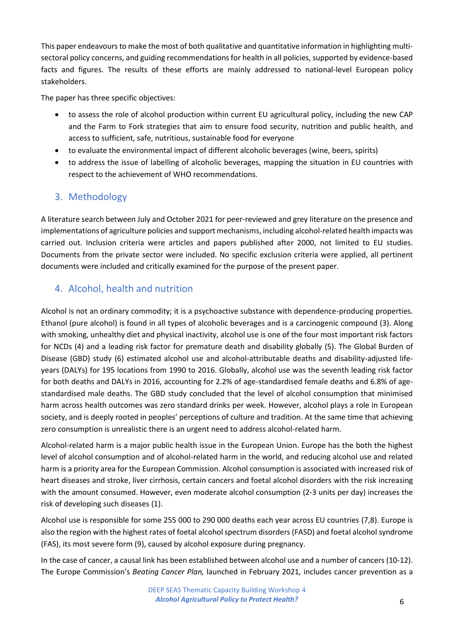This paper endeavours to make the most of both qualitative and quantitative information in highlighting multisectoral policy concerns, and guiding recommendations for health in all policies, supported by evidence-based facts and figures. The results of these efforts are mainly addressed to national-level European policy stakeholders.

The paper has three specific objectives:

- to assess the role of alcohol production within current EU agricultural policy, including the new CAP and the Farm to Fork strategies that aim to ensure food security, nutrition and public health, and access to sufficient, safe, nutritious, sustainable food for everyone
- to evaluate the environmental impact of different alcoholic beverages (wine, beers, spirits)
- to address the issue of labelling of alcoholic beverages, mapping the situation in EU countries with respect to the achievement of WHO recommendations.

# <span id="page-5-0"></span>3. Methodology

A literature search between July and October 2021 for peer-reviewed and grey literature on the presence and implementations of agriculture policies and support mechanisms, including alcohol-related health impacts was carried out. Inclusion criteria were articles and papers published after 2000, not limited to EU studies. Documents from the private sector were included. No specific exclusion criteria were applied, all pertinent documents were included and critically examined for the purpose of the present paper.

# <span id="page-5-1"></span>4. Alcohol, health and nutrition

Alcohol is not an ordinary commodity; it is a psychoactive substance with dependence-producing properties. Ethanol (pure alcohol) is found in all types of alcoholic beverages and is a carcinogenic compound (3). Along with smoking, unhealthy diet and physical inactivity, alcohol use is one of the four most important risk factors for NCDs (4) and a leading risk factor for premature death and disability globally (5). The Global Burden of Disease (GBD) study (6) estimated alcohol use and alcohol-attributable deaths and disability-adjusted lifeyears (DALYs) for 195 locations from 1990 to 2016. Globally, alcohol use was the seventh leading risk factor for both deaths and DALYs in 2016, accounting for 2.2% of age-standardised female deaths and 6.8% of agestandardised male deaths. The GBD study concluded that the level of alcohol consumption that minimised harm across health outcomes was zero standard drinks per week. However, alcohol plays a role in European society, and is deeply rooted in peoples' perceptions of culture and tradition. At the same time that achieving zero consumption is unrealistic there is an urgent need to address alcohol-related harm.

Alcohol-related harm is a major public health issue in the European Union. Europe has the both the highest level of alcohol consumption and of alcohol-related harm in the world, and reducing alcohol use and related harm is a priority area for the European Commission. Alcohol consumption is associated with increased risk of heart diseases and stroke, liver cirrhosis, certain cancers and foetal alcohol disorders with the risk increasing with the amount consumed. However, even moderate alcohol consumption (2-3 units per day) increases the risk of developing such diseases (1).

Alcohol use is responsible for some 255 000 to 290 000 deaths each year across EU countries (7,8). Europe is also the region with the highest rates of foetal alcohol spectrum disorders (FASD) and foetal alcohol syndrome (FAS), its most severe form (9), caused by alcohol exposure during pregnancy.

In the case of cancer, a causal link has been established between alcohol use and a number of cancers (10-12). The Europe Commission's *Beating Cancer Plan,* launched in February 2021*,* includes cancer prevention as a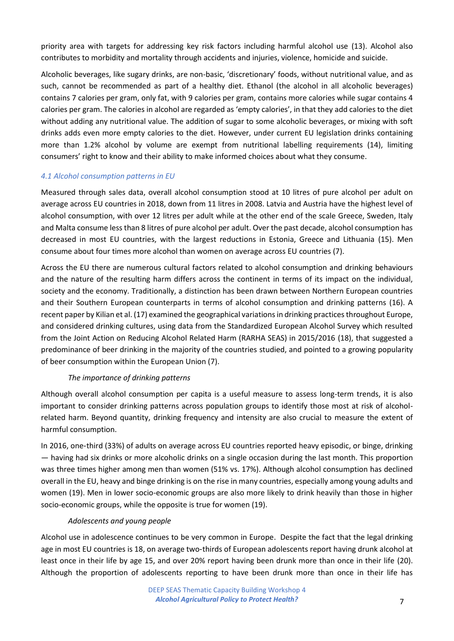priority area with targets for addressing key risk factors including harmful alcohol use (13). Alcohol also contributes to morbidity and mortality through accidents and injuries, violence, homicide and suicide.

Alcoholic beverages, like sugary drinks, are non-basic, 'discretionary' foods, without nutritional value, and as such, cannot be recommended as part of a healthy diet. Ethanol (the alcohol in all alcoholic beverages) contains 7 calories per gram, only fat, with 9 calories per gram, contains more calories while sugar contains 4 calories per gram. The calories in alcohol are regarded as 'empty calories', in that they add calories to the diet without adding any nutritional value. The addition of sugar to some alcoholic beverages, or mixing with soft drinks adds even more empty calories to the diet. However, under current EU legislation drinks containing more than 1.2% alcohol by volume are exempt from nutritional labelling requirements (14), limiting consumers' right to know and their ability to make informed choices about what they consume.

#### <span id="page-6-0"></span>*4.1 Alcohol consumption patterns in EU*

Measured through sales data, overall alcohol consumption stood at 10 litres of pure alcohol per adult on average across EU countries in 2018, down from 11 litres in 2008. Latvia and Austria have the highest level of alcohol consumption, with over 12 litres per adult while at the other end of the scale Greece, Sweden, Italy and Malta consume less than 8 litres of pure alcohol per adult. Over the past decade, alcohol consumption has decreased in most EU countries, with the largest reductions in Estonia, Greece and Lithuania (15). Men consume about four times more alcohol than women on average across EU countries (7).

Across the EU there are numerous cultural factors related to alcohol consumption and drinking behaviours and the nature of the resulting harm differs across the continent in terms of its impact on the individual, society and the economy. Traditionally, a distinction has been drawn between Northern European countries and their Southern European counterparts in terms of alcohol consumption and drinking patterns (16). A recent paper by Kilian et al. (17) examined the geographical variations in drinking practices throughout Europe, and considered drinking cultures, using data from the Standardized European Alcohol Survey which resulted from the Joint Action on Reducing Alcohol Related Harm (RARHA SEAS) in 2015/2016 (18), that suggested a predominance of beer drinking in the majority of the countries studied, and pointed to a growing popularity of beer consumption within the European Union (7).

### *The importance of drinking patterns*

Although overall alcohol consumption per capita is a useful measure to assess long-term trends, it is also important to consider drinking patterns across population groups to identify those most at risk of alcoholrelated harm. Beyond quantity, drinking frequency and intensity are also crucial to measure the extent of harmful consumption.

In 2016, one‑third (33%) of adults on average across EU countries reported heavy episodic, or binge, drinking — having had six drinks or more alcoholic drinks on a single occasion during the last month. This proportion was three times higher among men than women (51% vs. 17%). Although alcohol consumption has declined overall in the EU, heavy and binge drinking is on the rise in many countries, especially among young adults and women (19). Men in lower socio-economic groups are also more likely to drink heavily than those in higher socio-economic groups, while the opposite is true for women (19).

#### *Adolescents and young people*

Alcohol use in adolescence continues to be very common in Europe. Despite the fact that the legal drinking age in most EU countries is 18, on average two-thirds of European adolescents report having drunk alcohol at least once in their life by age 15, and over 20% report having been drunk more than once in their life (20). Although the proportion of adolescents reporting to have been drunk more than once in their life has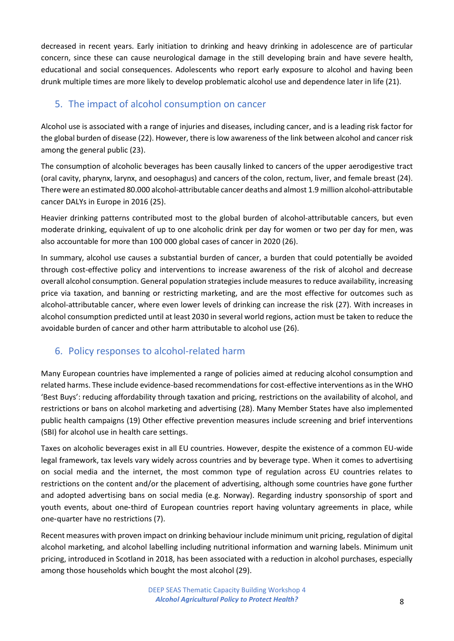decreased in recent years. Early initiation to drinking and heavy drinking in adolescence are of particular concern, since these can cause neurological damage in the still developing brain and have severe health, educational and social consequences. Adolescents who report early exposure to alcohol and having been drunk multiple times are more likely to develop problematic alcohol use and dependence later in life (21).

# <span id="page-7-0"></span>5. The impact of alcohol consumption on cancer

Alcohol use is associated with a range of injuries and diseases, including cancer, and is a leading risk factor for the global burden of disease (22). However, there is low awareness of the link between alcohol and cancer risk among the general public (23).

The consumption of alcoholic beverages has been causally linked to cancers of the upper aerodigestive tract (oral cavity, pharynx, larynx, and oesophagus) and cancers of the colon, rectum, liver, and female breast (24). There were an estimated 80.000 alcohol-attributable cancer deaths and almost 1.9 million alcohol-attributable cancer DALYs in Europe in 2016 (25).

Heavier drinking patterns contributed most to the global burden of alcohol-attributable cancers, but even moderate drinking, equivalent of up to one alcoholic drink per day for women or two per day for men, was also accountable for more than 100 000 global cases of cancer in 2020 (26).

In summary, alcohol use causes a substantial burden of cancer, a burden that could potentially be avoided through cost-effective policy and interventions to increase awareness of the risk of alcohol and decrease overall alcohol consumption. General population strategies include measures to reduce availability, increasing price via taxation, and banning or restricting marketing, and are the most effective for outcomes such as alcohol-attributable cancer, where even lower levels of drinking can increase the risk (27). With increases in alcohol consumption predicted until at least 2030 in several world regions, action must be taken to reduce the avoidable burden of cancer and other harm attributable to alcohol use (26).

# <span id="page-7-1"></span>6. Policy responses to alcohol-related harm

Many European countries have implemented a range of policies aimed at reducing alcohol consumption and related harms. These include evidence-based recommendations for cost-effective interventions as in the WHO 'Best Buys': reducing affordability through taxation and pricing, restrictions on the availability of alcohol, and restrictions or bans on alcohol marketing and advertising (28). Many Member States have also implemented public health campaigns (19) Other effective prevention measures include screening and brief interventions (SBI) for alcohol use in health care settings.

Taxes on alcoholic beverages exist in all EU countries. However, despite the existence of a common EU-wide legal framework, tax levels vary widely across countries and by beverage type. When it comes to advertising on social media and the internet, the most common type of regulation across EU countries relates to restrictions on the content and/or the placement of advertising, although some countries have gone further and adopted advertising bans on social media (e.g. Norway). Regarding industry sponsorship of sport and youth events, about one-third of European countries report having voluntary agreements in place, while one‑quarter have no restrictions (7).

Recent measures with proven impact on drinking behaviour include minimum unit pricing, regulation of digital alcohol marketing, and alcohol labelling including nutritional information and warning labels. Minimum unit pricing, introduced in Scotland in 2018, has been associated with a reduction in alcohol purchases, especially among those households which bought the most alcohol (29).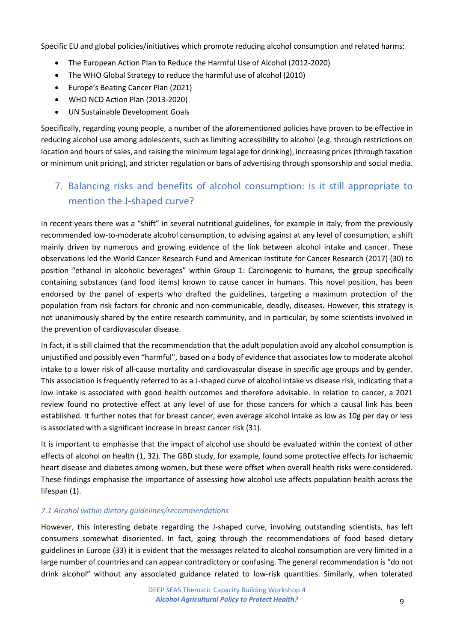Specific EU and global policies/initiatives which promote reducing alcohol consumption and related harms:

- The European Action Plan to Reduce the Harmful Use of Alcohol (2012-2020)
- The WHO Global Strategy to reduce the harmful use of alcohol (2010)
- Europe's Beating Cancer Plan (2021)
- WHO NCD Action Plan (2013-2020)
- UN Sustainable Development Goals

Specifically, regarding young people, a number of the aforementioned policies have proven to be effective in reducing alcohol use among adolescents, such as limiting accessibility to alcohol (e.g. through restrictions on location and hours of sales, and raising the minimum legal age for drinking), increasing prices (through taxation or minimum unit pricing), and stricter regulation or bans of advertising through sponsorship and social media.

# <span id="page-8-0"></span>7. Balancing risks and benefits of alcohol consumption: is it still appropriate to mention the J-shaped curve?

In recent years there was a "shift" in several nutritional guidelines, for example in Italy, from the previously recommended low-to-moderate alcohol consumption, to advising against at any level of consumption, a shift mainly driven by numerous and growing evidence of the link between alcohol intake and cancer. These observations led the World Cancer Research Fund and American Institute for Cancer Research (2017) (30) to position "ethanol in alcoholic beverages" within Group 1: Carcinogenic to humans, the group specifically containing substances (and food items) known to cause cancer in humans. This novel position, has been endorsed by the panel of experts who drafted the guidelines, targeting a maximum protection of the population from risk factors for chronic and non-communicable, deadly, diseases. However, this strategy is not unanimously shared by the entire research community, and in particular, by some scientists involved in the prevention of cardiovascular disease.

In fact, it is still claimed that the recommendation that the adult population avoid any alcohol consumption is unjustified and possibly even "harmful", based on a body of evidence that associates low to moderate alcohol intake to a lower risk of all-cause mortality and cardiovascular disease in specific age groups and by gender. This association is frequently referred to as a J-shaped curve of alcohol intake vs disease risk, indicating that a low intake is associated with good health outcomes and therefore advisable. In relation to cancer, a 2021 review found no protective effect at any level of use for those cancers for which a causal link has been established. It further notes that for breast cancer, even average alcohol intake as low as 10g per day or less is associated with a significant increase in breast cancer risk (31).

It is important to emphasise that the impact of alcohol use should be evaluated within the context of other effects of alcohol on health (1, 32). The GBD study, for example, found some protective effects for ischaemic heart disease and diabetes among women, but these were offset when overall health risks were considered. These findings emphasise the importance of assessing how alcohol use affects population health across the lifespan (1).

### <span id="page-8-1"></span>*7.1 Alcohol within dietary guidelines/recommendations*

However, this interesting debate regarding the J-shaped curve, involving outstanding scientists, has left consumers somewhat disoriented. In fact, going through the recommendations of food based dietary guidelines in Europe (33) it is evident that the messages related to alcohol consumption are very limited in a large number of countries and can appear contradictory or confusing. The general recommendation is "do not drink alcohol" without any associated guidance related to low-risk quantities. Similarly, when tolerated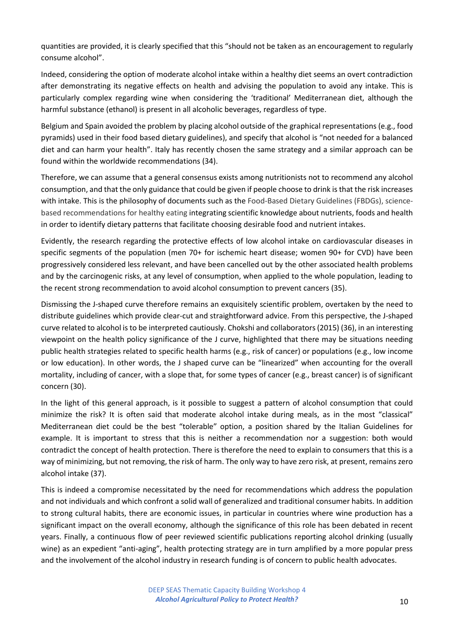quantities are provided, it is clearly specified that this "should not be taken as an encouragement to regularly consume alcohol".

Indeed, considering the option of moderate alcohol intake within a healthy diet seems an overt contradiction after demonstrating its negative effects on health and advising the population to avoid any intake. This is particularly complex regarding wine when considering the 'traditional' Mediterranean diet, although the harmful substance (ethanol) is present in all alcoholic beverages, regardless of type.

Belgium and Spain avoided the problem by placing alcohol outside of the graphical representations (e.g., food pyramids) used in their food based dietary guidelines), and specify that alcohol is "not needed for a balanced diet and can harm your health". Italy has recently chosen the same strategy and a similar approach can be found within the worldwide recommendations (34).

Therefore, we can assume that a general consensus exists among nutritionists not to recommend any alcohol consumption, and that the only guidance that could be given if people choose to drink is that the risk increases with intake. This is the philosophy of documents such as the Food-Based Dietary Guidelines (FBDGs), sciencebased recommendations for healthy eating integrating scientific knowledge about nutrients, foods and health in order to identify dietary patterns that facilitate choosing desirable food and nutrient intakes.

Evidently, the research regarding the protective effects of low alcohol intake on cardiovascular diseases in specific segments of the population (men 70+ for ischemic heart disease; women 90+ for CVD) have been progressively considered less relevant, and have been cancelled out by the other associated health problems and by the carcinogenic risks, at any level of consumption, when applied to the whole population, leading to the recent strong recommendation to avoid alcohol consumption to prevent cancers (35).

Dismissing the J-shaped curve therefore remains an exquisitely scientific problem, overtaken by the need to distribute guidelines which provide clear-cut and straightforward advice. From this perspective, the J-shaped curve related to alcohol is to be interpreted cautiously. Chokshi and collaborators(2015) (36), in an interesting viewpoint on the health policy significance of the J curve, highlighted that there may be situations needing public health strategies related to specific health harms (e.g., risk of cancer) or populations (e.g., low income or low education). In other words, the J shaped curve can be "linearized" when accounting for the overall mortality, including of cancer, with a slope that, for some types of cancer (e.g., breast cancer) is of significant concern (30).

In the light of this general approach, is it possible to suggest a pattern of alcohol consumption that could minimize the risk? It is often said that moderate alcohol intake during meals, as in the most "classical" Mediterranean diet could be the best "tolerable" option, a position shared by the Italian Guidelines for example. It is important to stress that this is neither a recommendation nor a suggestion: both would contradict the concept of health protection. There is therefore the need to explain to consumers that this is a way of minimizing, but not removing, the risk of harm. The only way to have zero risk, at present, remains zero alcohol intake (37).

This is indeed a compromise necessitated by the need for recommendations which address the population and not individuals and which confront a solid wall of generalized and traditional consumer habits. In addition to strong cultural habits, there are economic issues, in particular in countries where wine production has a significant impact on the overall economy, although the significance of this role has been debated in recent years. Finally, a continuous flow of peer reviewed scientific publications reporting alcohol drinking (usually wine) as an expedient "anti-aging", health protecting strategy are in turn amplified by a more popular press and the involvement of the alcohol industry in research funding is of concern to public health advocates.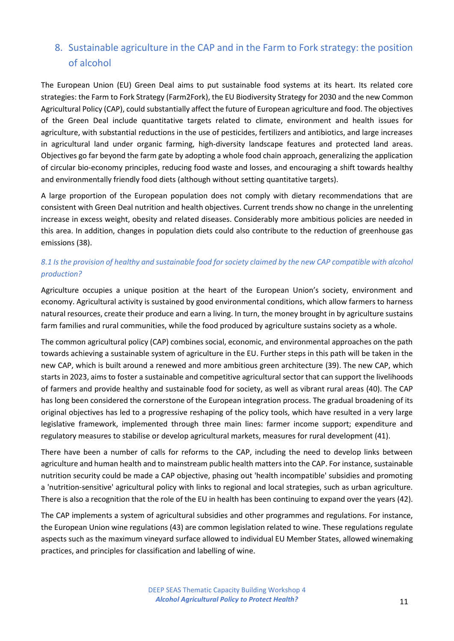# <span id="page-10-0"></span>8. Sustainable agriculture in the CAP and in the Farm to Fork strategy: the position of alcohol

The European Union (EU) Green Deal aims to put sustainable food systems at its heart. Its related core strategies: the Farm to Fork Strategy (Farm2Fork), the EU Biodiversity Strategy for 2030 and the new Common Agricultural Policy (CAP), could substantially affect the future of European agriculture and food. The objectives of the Green Deal include quantitative targets related to climate, environment and health issues for agriculture, with substantial reductions in the use of pesticides, fertilizers and antibiotics, and large increases in agricultural land under organic farming, high-diversity landscape features and protected land areas. Objectives go far beyond the farm gate by adopting a whole food chain approach, generalizing the application of circular bio-economy principles, reducing food waste and losses, and encouraging a shift towards healthy and environmentally friendly food diets (although without setting quantitative targets).

A large proportion of the European population does not comply with dietary recommendations that are consistent with Green Deal nutrition and health objectives. Current trends show no change in the unrelenting increase in excess weight, obesity and related diseases. Considerably more ambitious policies are needed in this area. In addition, changes in population diets could also contribute to the reduction of greenhouse gas emissions (38).

## <span id="page-10-1"></span>*8.1 Is the provision of healthy and sustainable food for society claimed by the new CAP compatible with alcohol production?*

Agriculture occupies a unique position at the heart of the European Union's society, environment and economy. Agricultural activity is sustained by good environmental conditions, which allow farmers to harness natural resources, create their produce and earn a living. In turn, the money brought in by agriculture sustains farm families and rural communities, while the food produced by agriculture sustains society as a whole.

The common agricultural policy (CAP) combines social, economic, and environmental approaches on the path towards achieving a sustainable system of agriculture in the EU. Further steps in this path will be taken in the new CAP, which is built around a renewed and more ambitious green architecture (39). The new CAP, which starts in 2023, aims to foster a sustainable and competitive agricultural sector that can support the livelihoods of farmers and provide healthy and sustainable food for society, as well as vibrant rural areas (40). The CAP has long been considered the cornerstone of the European integration process. The gradual broadening of its original objectives has led to a progressive reshaping of the policy tools, which have resulted in a very large legislative framework, implemented through three main lines: farmer income support; expenditure and regulatory measures to stabilise or develop agricultural markets, measures for rural development (41).

There have been a number of calls for reforms to the CAP, including the need to develop links between agriculture and human health and to mainstream public health matters into the CAP. For instance, sustainable nutrition security could be made a CAP objective, phasing out 'health incompatible' subsidies and promoting a 'nutrition-sensitive' agricultural policy with links to regional and local strategies, such as urban agriculture. There is also a recognition that the role of the EU in health has been continuing to expand over the years (42).

The CAP implements a system of [agricultural subsidies](https://en.wikipedia.org/wiki/Agricultural_subsidies) and other programmes and regulations. For instance, the European Union wine regulations (43) are common legislation related to wine. These regulations regulate aspects such as the maximum vineyard surface allowed to individual EU Member States, allowed winemaking practices, and principles for classification and labelling of wine.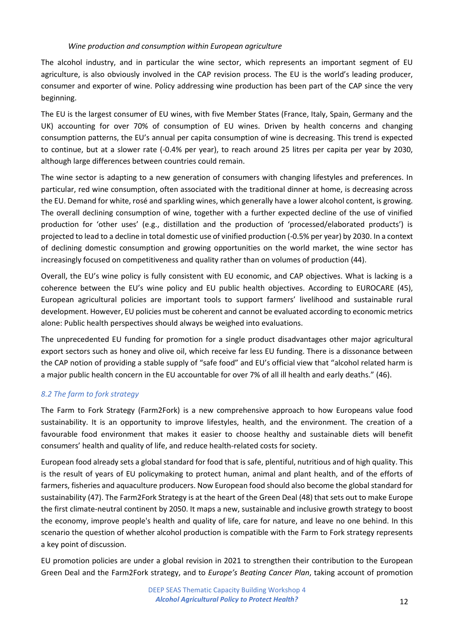#### *Wine production and consumption within European agriculture*

The alcohol industry, and in particular the wine sector, which represents an important segment of EU agriculture, is also obviously involved in the CAP revision process. The EU is the world's leading producer, consumer and exporter of wine. Policy addressing wine production has been part of the CAP since the very beginning.

The EU is the largest consumer of EU wines, with five Member States (France, Italy, Spain, Germany and the UK) accounting for over 70% of consumption of EU wines. Driven by health concerns and changing consumption patterns, the EU's annual per capita consumption of wine is decreasing. This trend is expected to continue, but at a slower rate (-0.4% per year), to reach around 25 litres per capita per year by 2030, although large differences between countries could remain.

The wine sector is adapting to a new generation of consumers with changing lifestyles and preferences. In particular, red wine consumption, often associated with the traditional dinner at home, is decreasing across the EU. Demand for white, rosé and sparkling wines, which generally have a lower alcohol content, is growing. The overall declining consumption of wine, together with a further expected decline of the use of vinified production for 'other uses' (e.g., distillation and the production of 'processed/elaborated products') is projected to lead to a decline in total domestic use of vinified production (-0.5% per year) by 2030. In a context of declining domestic consumption and growing opportunities on the world market, the wine sector has increasingly focused on competitiveness and quality rather than on volumes of production (44).

Overall, the EU's wine policy is fully consistent with EU economic, and CAP objectives. What is lacking is a coherence between the EU's wine policy and EU public health objectives. According to EUROCARE (45), European agricultural policies are important tools to support farmers' livelihood and sustainable rural development. However, EU policies must be coherent and cannot be evaluated according to economic metrics alone: Public health perspectives should always be weighed into evaluations.

The unprecedented EU funding for promotion for a single product disadvantages other major agricultural export sectors such as honey and olive oil, which receive far less EU funding. There is a dissonance between the CAP notion of providing a stable supply of "safe food" and EU's official view that "alcohol related harm is a major public health concern in the EU accountable for over 7% of all ill health and early deaths." (46).

### <span id="page-11-0"></span>*8.2 The farm to fork strategy*

The Farm to Fork Strategy (Farm2Fork) is a new comprehensive approach to how Europeans value food sustainability. It is an opportunity to improve lifestyles, health, and the environment. The creation of a favourable food environment that makes it easier to choose healthy and sustainable diets will benefit consumers' health and quality of life, and reduce health-related costs for society.

European food already sets a global standard for food that is safe, plentiful, nutritious and of high quality. This is the result of years of EU policymaking to protect human, animal and plant health, and of the efforts of farmers, fisheries and aquaculture producers. Now European food should also become the global standard for sustainability (47). The Farm2Fork Strategy is at the heart of the Green Deal (48) that sets out to make Europe the first climate-neutral continent by 2050. It maps a new, sustainable and inclusive growth strategy to boost the economy, improve people's health and quality of life, care for nature, and leave no one behind. In this scenario the question of whether alcohol production is compatible with the Farm to Fork strategy represents a key point of discussion.

EU promotion policies are under a global revision in 2021 to strengthen their contribution to the European Green Deal and the Farm2Fork strategy, and to *Europe's Beating Cancer Plan*, taking account of promotion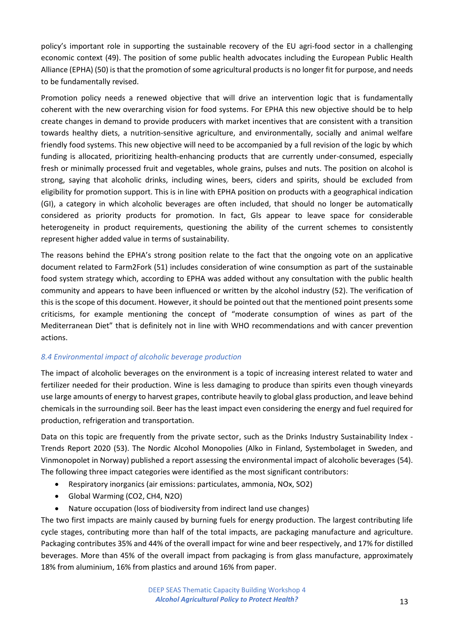policy's important role in supporting the sustainable recovery of the EU agri-food sector in a challenging economic context (49). The position of some public health advocates including the European Public Health Alliance (EPHA) (50) is that the promotion of some agricultural products is no longer fit for purpose, and needs to be fundamentally revised.

Promotion policy needs a renewed objective that will drive an intervention logic that is fundamentally coherent with the new overarching vision for food systems. For EPHA this new objective should be to help create changes in demand to provide producers with market incentives that are consistent with a transition towards healthy diets, a nutrition-sensitive agriculture, and environmentally, socially and animal welfare friendly food systems. This new objective will need to be accompanied by a full revision of the logic by which funding is allocated, prioritizing health-enhancing products that are currently under-consumed, especially fresh or minimally processed fruit and vegetables, whole grains, pulses and nuts. The position on alcohol is strong, saying that alcoholic drinks, including wines, beers, ciders and spirits, should be excluded from eligibility for promotion support. This is in line with EPHA position on products with a geographical indication (GI), a category in which alcoholic beverages are often included, that should no longer be automatically considered as priority products for promotion. In fact, GIs appear to leave space for considerable heterogeneity in product requirements, questioning the ability of the current schemes to consistently represent higher added value in terms of sustainability.

The reasons behind the EPHA's strong position relate to the fact that the ongoing vote on an applicative document related to Farm2Fork (51) includes consideration of wine consumption as part of the sustainable food system strategy which, according to EPHA was added without any consultation with the public health community and appears to have been influenced or written by the alcohol industry (52). The verification of this is the scope of this document. However, it should be pointed out that the mentioned point presents some criticisms, for example mentioning the concept of "moderate consumption of wines as part of the Mediterranean Diet" that is definitely not in line with WHO recommendations and with cancer prevention actions.

### <span id="page-12-0"></span>*8.4 Environmental impact of alcoholic beverage production*

The impact of alcoholic beverages on the environment is a topic of increasing interest related to water and fertilizer needed for their production. Wine is less damaging to produce than spirits even though vineyards use large amounts of energy to harvest grapes, contribute heavily to global glass production, and leave behind chemicals in the surrounding soil. Beer has the least impact even considering the energy and fuel required for production, refrigeration and transportation.

Data on this topic are frequently from the private sector, such as the Drinks Industry Sustainability Index - Trends Report 2020 (53). The Nordic Alcohol Monopolies (Alko in Finland, Systembolaget in Sweden, and Vinmonopolet in Norway) published a report assessing the environmental impact of alcoholic beverages (54). The following three impact categories were identified as the most significant contributors:

- Respiratory inorganics (air emissions: particulates, ammonia, NOx, SO2)
- Global Warming (CO2, CH4, N2O)
- Nature occupation (loss of biodiversity from indirect land use changes)

The two first impacts are mainly caused by burning fuels for energy production. The largest contributing life cycle stages, contributing more than half of the total impacts, are packaging manufacture and agriculture. Packaging contributes 35% and 44% of the overall impact for wine and beer respectively, and 17% for distilled beverages. More than 45% of the overall impact from packaging is from glass manufacture, approximately 18% from aluminium, 16% from plastics and around 16% from paper.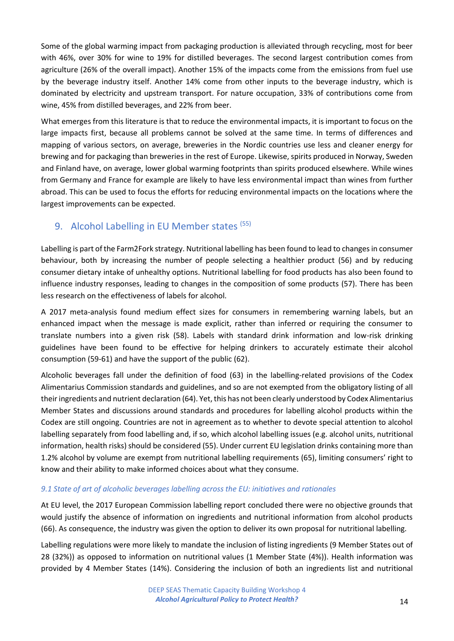Some of the global warming impact from packaging production is alleviated through recycling, most for beer with 46%, over 30% for wine to 19% for distilled beverages. The second largest contribution comes from agriculture (26% of the overall impact). Another 15% of the impacts come from the emissions from fuel use by the beverage industry itself. Another 14% come from other inputs to the beverage industry, which is dominated by electricity and upstream transport. For nature occupation, 33% of contributions come from wine, 45% from distilled beverages, and 22% from beer.

What emerges from this literature is that to reduce the environmental impacts, it is important to focus on the large impacts first, because all problems cannot be solved at the same time. In terms of differences and mapping of various sectors, on average, breweries in the Nordic countries use less and cleaner energy for brewing and for packaging than breweries in the rest of Europe. Likewise, spirits produced in Norway, Sweden and Finland have, on average, lower global warming footprints than spirits produced elsewhere. While wines from Germany and France for example are likely to have less environmental impact than wines from further abroad. This can be used to focus the efforts for reducing environmental impacts on the locations where the largest improvements can be expected.

# <span id="page-13-0"></span>9. Alcohol Labelling in EU Member states (55)

Labelling is part of the Farm2Fork strategy. Nutritional labelling has been found to lead to changes in consumer behaviour, both by increasing the number of people selecting a healthier product (56) and by reducing consumer dietary intake of unhealthy options. Nutritional labelling for food products has also been found to influence industry responses, leading to changes in the composition of some products (57). There has been less research on the effectiveness of labels for alcohol.

A 2017 meta-analysis found medium effect sizes for consumers in remembering warning labels, but an enhanced impact when the message is made explicit, rather than inferred or requiring the consumer to translate numbers into a given risk (58). Labels with standard drink information and low-risk drinking guidelines have been found to be effective for helping drinkers to accurately estimate their alcohol consumption (59-61) and have the support of the public (62).

Alcoholic beverages fall under the definition of food (63) in the labelling-related provisions of the Codex Alimentarius Commission standards and guidelines, and so are not exempted from the obligatory listing of all their ingredients and nutrient declaration (64). Yet, this has not been clearly understood by Codex Alimentarius Member States and discussions around standards and procedures for labelling alcohol products within the Codex are still ongoing. Countries are not in agreement as to whether to devote special attention to alcohol labelling separately from food labelling and, if so, which alcohol labelling issues (e.g. alcohol units, nutritional information, health risks) should be considered (55). Under current EU legislation drinks containing more than 1.2% alcohol by volume are exempt from nutritional labelling requirements (65), limiting consumers' right to know and their ability to make informed choices about what they consume.

## <span id="page-13-1"></span>*9.1 State of art of alcoholic beverages labelling across the EU: initiatives and rationales*

At EU level, the 2017 European Commission labelling report concluded there were no objective grounds that would justify the absence of information on ingredients and nutritional information from alcohol products (66). As consequence, the industry was given the option to deliver its own proposal for nutritional labelling.

Labelling regulations were more likely to mandate the inclusion of listing ingredients (9 Member States out of 28 (32%)) as opposed to information on nutritional values (1 Member State (4%)). Health information was provided by 4 Member States (14%). Considering the inclusion of both an ingredients list and nutritional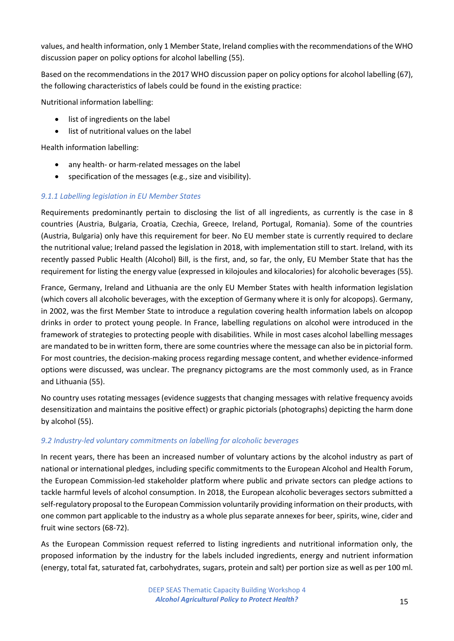values, and health information, only 1 Member State, Ireland complies with the recommendations of the WHO discussion paper on policy options for alcohol labelling (55).

Based on the recommendations in the 2017 WHO discussion paper on policy options for alcohol labelling (67), the following characteristics of labels could be found in the existing practice:

Nutritional information labelling:

- list of ingredients on the label
- list of nutritional values on the label

Health information labelling:

- any health- or harm-related messages on the label
- specification of the messages (e.g., size and visibility).

### <span id="page-14-0"></span>*9.1.1 Labelling legislation in EU Member States*

Requirements predominantly pertain to disclosing the list of all ingredients, as currently is the case in 8 countries (Austria, Bulgaria, Croatia, Czechia, Greece, Ireland, Portugal, Romania). Some of the countries (Austria, Bulgaria) only have this requirement for beer. No EU member state is currently required to declare the nutritional value; Ireland passed the legislation in 2018, with implementation still to start. Ireland, with its recently passed Public Health (Alcohol) Bill, is the first, and, so far, the only, EU Member State that has the requirement for listing the energy value (expressed in kilojoules and kilocalories) for alcoholic beverages (55).

France, Germany, Ireland and Lithuania are the only EU Member States with health information legislation (which covers all alcoholic beverages, with the exception of Germany where it is only for alcopops). Germany, in 2002, was the first Member State to introduce a regulation covering health information labels on alcopop drinks in order to protect young people. In France, labelling regulations on alcohol were introduced in the framework of strategies to protecting people with disabilities. While in most cases alcohol labelling messages are mandated to be in written form, there are some countries where the message can also be in pictorial form. For most countries, the decision-making process regarding message content, and whether evidence-informed options were discussed, was unclear. The pregnancy pictograms are the most commonly used, as in France and Lithuania (55).

No country uses rotating messages (evidence suggests that changing messages with relative frequency avoids desensitization and maintains the positive effect) or graphic pictorials (photographs) depicting the harm done by alcohol (55).

## <span id="page-14-1"></span>*9.2 Industry-led voluntary commitments on labelling for alcoholic beverages*

In recent years, there has been an increased number of voluntary actions by the alcohol industry as part of national or international pledges, including specific commitments to the European Alcohol and Health Forum, the European Commission-led stakeholder platform where public and private sectors can pledge actions to tackle harmful levels of alcohol consumption. In 2018, the European alcoholic beverages sectors submitted a self-regulatory proposal to the European Commission voluntarily providing information on their products, with one common part applicable to the industry as a whole plus separate annexes for beer, spirits, wine, cider and fruit wine sectors (68-72).

As the European Commission request referred to listing ingredients and nutritional information only, the proposed information by the industry for the labels included ingredients, energy and nutrient information (energy, total fat, saturated fat, carbohydrates, sugars, protein and salt) per portion size as well as per 100 ml.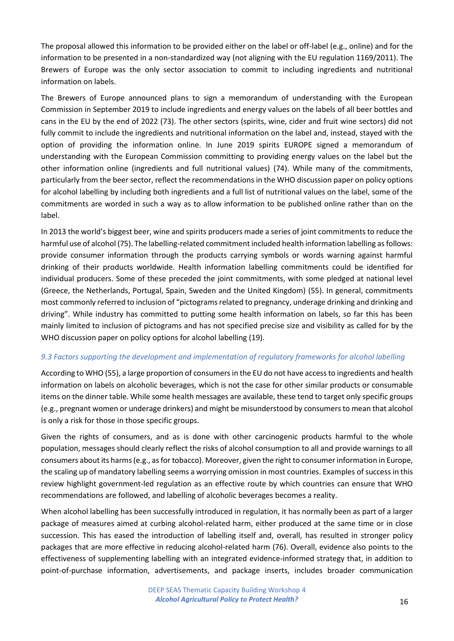The proposal allowed this information to be provided either on the label or off-label (e.g., online) and for the information to be presented in a non-standardized way (not aligning with the EU regulation 1169/2011). The Brewers of Europe was the only sector association to commit to including ingredients and nutritional information on labels.

The Brewers of Europe announced plans to sign a memorandum of understanding with the European Commission in September 2019 to include ingredients and energy values on the labels of all beer bottles and cans in the EU by the end of 2022 (73). The other sectors (spirits, wine, cider and fruit wine sectors) did not fully commit to include the ingredients and nutritional information on the label and, instead, stayed with the option of providing the information online. In June 2019 spirits EUROPE signed a memorandum of understanding with the European Commission committing to providing energy values on the label but the other information online (ingredients and full nutritional values) (74). While many of the commitments, particularly from the beer sector, reflect the recommendations in the WHO discussion paper on policy options for alcohol labelling by including both ingredients and a full list of nutritional values on the label, some of the commitments are worded in such a way as to allow information to be published online rather than on the label.

In 2013 the world's biggest beer, wine and spirits producers made a series of joint commitments to reduce the harmful use of alcohol (75). The labelling-related commitment included health information labelling as follows: provide consumer information through the products carrying symbols or words warning against harmful drinking of their products worldwide. Health information labelling commitments could be identified for individual producers. Some of these preceded the joint commitments, with some pledged at national level (Greece, the Netherlands, Portugal, Spain, Sweden and the United Kingdom) (55). In general, commitments most commonly referred to inclusion of "pictograms related to pregnancy, underage drinking and drinking and driving". While industry has committed to putting some health information on labels, so far this has been mainly limited to inclusion of pictograms and has not specified precise size and visibility as called for by the WHO discussion paper on policy options for alcohol labelling (19).

### <span id="page-15-0"></span>*9.3 Factors supporting the development and implementation of regulatory frameworks for alcohol labelling*

According to WHO (55), a large proportion of consumers in the EU do not have access to ingredients and health information on labels on alcoholic beverages, which is not the case for other similar products or consumable items on the dinner table. While some health messages are available, these tend to target only specific groups (e.g., pregnant women or underage drinkers) and might be misunderstood by consumers to mean that alcohol is only a risk for those in those specific groups.

Given the rights of consumers, and as is done with other carcinogenic products harmful to the whole population, messages should clearly reflect the risks of alcohol consumption to all and provide warnings to all consumers about its harms (e.g., as for tobacco). Moreover, given the right to consumer information in Europe, the scaling up of mandatory labelling seems a worrying omission in most countries. Examples of success in this review highlight government-led regulation as an effective route by which countries can ensure that WHO recommendations are followed, and labelling of alcoholic beverages becomes a reality.

When alcohol labelling has been successfully introduced in regulation, it has normally been as part of a larger package of measures aimed at curbing alcohol-related harm, either produced at the same time or in close succession. This has eased the introduction of labelling itself and, overall, has resulted in stronger policy packages that are more effective in reducing alcohol-related harm (76). Overall, evidence also points to the effectiveness of supplementing labelling with an integrated evidence-informed strategy that, in addition to point-of-purchase information, advertisements, and package inserts, includes broader communication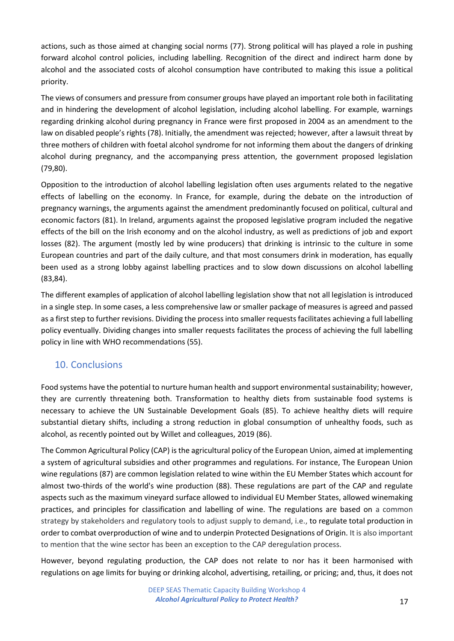actions, such as those aimed at changing social norms (77). Strong political will has played a role in pushing forward alcohol control policies, including labelling. Recognition of the direct and indirect harm done by alcohol and the associated costs of alcohol consumption have contributed to making this issue a political priority.

The views of consumers and pressure from consumer groups have played an important role both in facilitating and in hindering the development of alcohol legislation, including alcohol labelling. For example, warnings regarding drinking alcohol during pregnancy in France were first proposed in 2004 as an amendment to the law on disabled people's rights (78). Initially, the amendment was rejected; however, after a lawsuit threat by three mothers of children with foetal alcohol syndrome for not informing them about the dangers of drinking alcohol during pregnancy, and the accompanying press attention, the government proposed legislation (79,80).

Opposition to the introduction of alcohol labelling legislation often uses arguments related to the negative effects of labelling on the economy. In France, for example, during the debate on the introduction of pregnancy warnings, the arguments against the amendment predominantly focused on political, cultural and economic factors (81). In Ireland, arguments against the proposed legislative program included the negative effects of the bill on the Irish economy and on the alcohol industry, as well as predictions of job and export losses (82). The argument (mostly led by wine producers) that drinking is intrinsic to the culture in some European countries and part of the daily culture, and that most consumers drink in moderation, has equally been used as a strong lobby against labelling practices and to slow down discussions on alcohol labelling (83,84).

The different examples of application of alcohol labelling legislation show that not all legislation is introduced in a single step. In some cases, a less comprehensive law or smaller package of measures is agreed and passed as a first step to further revisions. Dividing the process into smaller requests facilitates achieving a full labelling policy eventually. Dividing changes into smaller requests facilitates the process of achieving the full labelling policy in line with WHO recommendations (55).

## <span id="page-16-0"></span>10. Conclusions

Food systems have the potential to nurture human health and support environmental sustainability; however, they are currently threatening both. Transformation to healthy diets from sustainable food systems is necessary to achieve the UN Sustainable Development Goals (85). To achieve healthy diets will require substantial dietary shifts, including a strong reduction in global consumption of unhealthy foods, such as alcohol, as recently pointed out by Willet and colleagues, 2019 (86).

The Common Agricultural Policy (CAP) is the agricultural policy of the European Union, aimed at implementing a system of [agricultural subsidies](https://en.wikipedia.org/wiki/Agricultural_subsidies) and other programmes and regulations. For instance, The European Union wine regulations (87) are common legislation related to wine within the EU Member States which account for almost two-thirds of the world's wine production (88). These regulations are part of the CAP and regulate aspects such as the maximum vineyard surface allowed to individual EU Member States, allowed winemaking practices, and principles for classification and labelling of wine. The regulations are based on a common strategy by stakeholders and regulatory tools to adjust supply to demand, i.e., to regulate total production in order to combat overproduction of wine and to underpin Protected Designations of Origin. It is also important to mention that the wine sector has been an exception to the CAP deregulation process.

However, beyond regulating production, the CAP does not relate to nor has it been harmonised with regulations on age limits for buying or drinking alcohol, advertising, retailing, or pricing; and, thus, it does not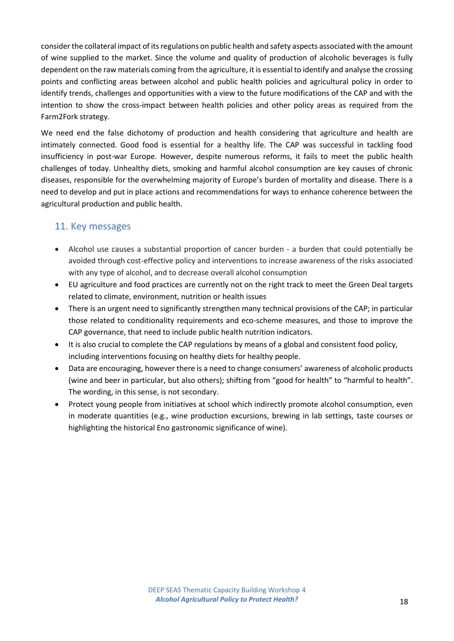consider the collateral impact of its regulations on public health and safety aspects associated with the amount of wine supplied to the market. Since the volume and quality of production of alcoholic beverages is fully dependent on the raw materials coming from the agriculture, it is essential to identify and analyse the crossing points and conflicting areas between alcohol and public health policies and agricultural policy in order to identify trends, challenges and opportunities with a view to the future modifications of the CAP and with the intention to show the cross-impact between health policies and other policy areas as required from the Farm2Fork strategy.

We need end the false dichotomy of production and health considering that agriculture and health are intimately connected. Good food is essential for a healthy life. The CAP was successful in tackling food insufficiency in post-war Europe. However, despite numerous reforms, it fails to meet the public health challenges of today. Unhealthy diets, smoking and harmful alcohol consumption are key causes of chronic diseases, responsible for the overwhelming majority of Europe's burden of mortality and disease. There is a need to develop and put in place actions and recommendations for ways to enhance coherence between the agricultural production and public health.

## <span id="page-17-0"></span>11. Key messages

- Alcohol use causes a substantial proportion of cancer burden a burden that could potentially be avoided through cost-effective policy and interventions to increase awareness of the risks associated with any type of alcohol, and to decrease overall alcohol consumption
- EU agriculture and food practices are currently not on the right track to meet the Green Deal targets related to climate, environment, nutrition or health issues
- There is an urgent need to significantly strengthen many technical provisions of the CAP; in particular those related to conditionality requirements and eco-scheme measures, and those to improve the CAP governance, that need to include public health nutrition indicators.
- It is also crucial to complete the CAP regulations by means of a global and consistent food policy, including interventions focusing on healthy diets for healthy people.
- Data are encouraging, however there is a need to change consumers' awareness of alcoholic products (wine and beer in particular, but also others); shifting from "good for health" to "harmful to health". The wording, in this sense, is not secondary.
- Protect young people from initiatives at school which indirectly promote alcohol consumption, even in moderate quantities (e.g., wine production excursions, brewing in lab settings, taste courses or highlighting the historical Eno gastronomic significance of wine).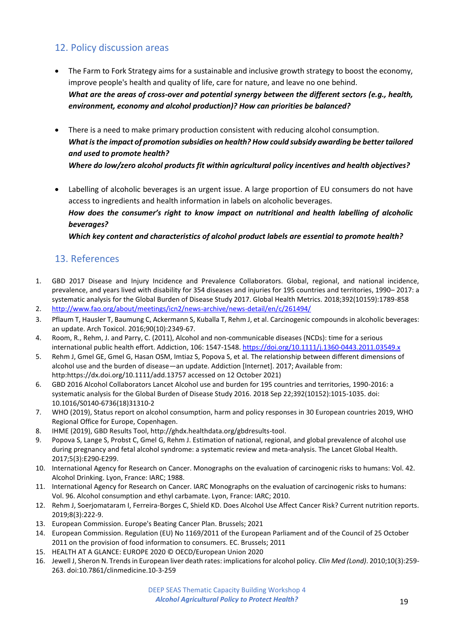## <span id="page-18-0"></span>12. Policy discussion areas

- The Farm to Fork Strategy aims for a sustainable and inclusive growth strategy to boost the economy, improve people's health and quality of life, care for nature, and leave no one behind. *What are the areas of cross-over and potential synergy between the different sectors (e.g., health, environment, economy and alcohol production)? How can priorities be balanced?*
- There is a need to make primary production consistent with reducing alcohol consumption. *What is the impact of promotion subsidies on health? How could subsidy awarding be better tailored and used to promote health? Where do low/zero alcohol products fit within agricultural policy incentives and health objectives?*
- Labelling of alcoholic beverages is an urgent issue. A large proportion of EU consumers do not have access to ingredients and health information in labels on alcoholic beverages. *How does the consumer's right to know impact on nutritional and health labelling of alcoholic beverages? Which key content and characteristics of alcohol product labels are essential to promote health?*

## 13. References

- 1. GBD 2017 Disease and Injury Incidence and Prevalence Collaborators. Global, regional, and national incidence, prevalence, and years lived with disability for 354 diseases and injuries for 195 countries and territories, 1990– 2017: a systematic analysis for the Global Burden of Disease Study 2017. Global Health Metrics. 2018;392(10159):1789-858
- 2. <http://www.fao.org/about/meetings/icn2/news-archive/news-detail/en/c/261494/>
- 3. Pflaum T, Hausler T, Baumung C, Ackermann S, Kuballa T, Rehm J, et al. Carcinogenic compounds in alcoholic beverages: an update. Arch Toxicol. 2016;90(10):2349-67.
- 4. Room, R., Rehm, J. and Parry, C. (2011), Alcohol and non-communicable diseases (NCDs): time for a serious international public health effort. Addiction, 106: 1547-1548.<https://doi.org/10.1111/j.1360-0443.2011.03549.x>
- 5. Rehm J, Gmel GE, Gmel G, Hasan OSM, Imtiaz S, Popova S, et al. The relationship between different dimensions of alcohol use and the burden of disease—an update. Addiction [Internet]. 2017; Available from: http:https://dx.doi.org/10.1111/add.13757 accessed on 12 October 2021)
- 6. [GBD 2016 Alcohol Collaborators](https://pubmed.ncbi.nlm.nih.gov/?size=200&term=GBD+2016+Alcohol+Collaborators%5BCorporate+Author%5D) Lancet Alcohol use and burden for 195 countries and territories, 1990-2016: a systematic analysis for the Global Burden of Disease Study 2016. 2018 Sep 22;392(10152):1015-1035. doi: 10.1016/S0140-6736(18)31310-2
- 7. WHO (2019), Status report on alcohol consumption, harm and policy responses in 30 European countries 2019, WHO Regional Office for Europe, Copenhagen.
- 8. IHME (2019), GBD Results Tool, http://ghdx.healthdata.org/gbdresults-tool.
- 9. Popova S, Lange S, Probst C, Gmel G, Rehm J. Estimation of national, regional, and global prevalence of alcohol use during pregnancy and fetal alcohol syndrome: a systematic review and meta-analysis. The Lancet Global Health. 2017;5(3):E290-E299.
- 10. International Agency for Research on Cancer. Monographs on the evaluation of carcinogenic risks to humans: Vol. 42. Alcohol Drinking. Lyon, France: IARC; 1988.
- 11. International Agency for Research on Cancer. IARC Monographs on the evaluation of carcinogenic risks to humans: Vol. 96. Alcohol consumption and ethyl carbamate. Lyon, France: IARC; 2010.
- 12. Rehm J, Soerjomataram I, Ferreira-Borges C, Shield KD. Does Alcohol Use Affect Cancer Risk? Current nutrition reports. 2019;8(3):222-9.
- 13. European Commission. Europe's Beating Cancer Plan. Brussels; 2021
- 14. European Commission. Regulation (EU) No 1169/2011 of the European Parliament and of the Council of 25 October 2011 on the provision of food information to consumers. EC. Brussels; 2011
- 15. HEALTH AT A GLANCE: EUROPE 2020 © OECD/European Union 2020
- 16. Jewell J, Sheron N. Trends in European liver death rates: implications for alcohol policy. *Clin Med (Lond)*. 2010;10(3):259- 263. doi:10.7861/clinmedicine.10-3-259

DEEP SEAS Thematic Capacity Building Workshop 4 Alcohol Agricultural Policy to Protect Health? 19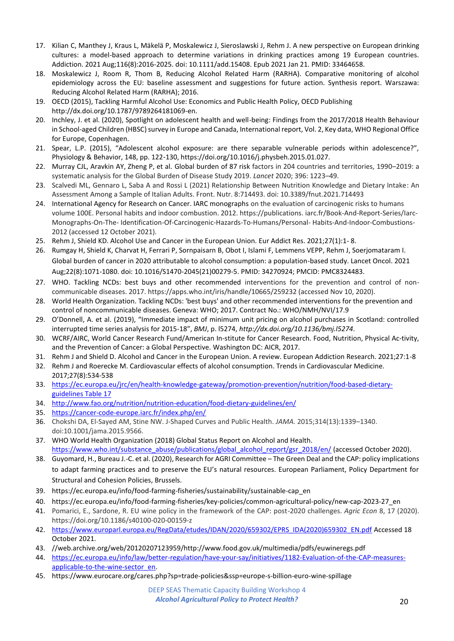- 17. Kilian C, Manthey J, Kraus L, Mäkelä P, Moskalewicz J, Sieroslawski J, Rehm J. A new perspective on European drinking cultures: a model-based approach to determine variations in drinking practices among 19 European countries. Addiction. 2021 Aug;116(8):2016-2025. doi: 10.1111/add.15408. Epub 2021 Jan 21. PMID: 33464658.
- 18. Moskalewicz J, Room R, Thom B, Reducing Alcohol Related Harm (RARHA). Comparative monitoring of alcohol epidemiology across the EU: baseline assessment and suggestions for future action. Synthesis report. Warszawa: Reducing Alcohol Related Harm (RARHA); 2016.
- 19. OECD (2015), Tackling Harmful Alcohol Use: Economics and Public Health Policy, OECD Publishing http://dx.doi.org/10.1787/9789264181069-en.
- 20. Inchley, J. et al. (2020), Spotlight on adolescent health and well-being: Findings from the 2017/2018 Health Behaviour in School-aged Children (HBSC) survey in Europe and Canada, International report, Vol. 2, Key data, WHO Regional Office for Europe, Copenhagen.
- 21. Spear, L.P. (2015), "Adolescent alcohol exposure: are there separable vulnerable periods within adolescence?", Physiology & Behavior, 148, pp. 122‑130, https://doi.org/10.1016/j.physbeh.2015.01.027.
- 22. Murray CJL, Aravkin AY, Zheng P, et al. Global burden of 87 risk factors in 204 countries and territories, 1990–2019: a systematic analysis for the Global Burden of Disease Study 2019. *Lancet* 2020; 396: 1223–49.
- 23. Scalvedi ML, Gennaro L, Saba A and Rossi L (2021) Relationship Between Nutrition Knowledge and Dietary Intake: An Assessment Among a Sample of Italian Adults. Front. Nutr. 8:714493. doi: 10.3389/fnut.2021.714493
- 24. International Agency for Research on Cancer. IARC monographs on the evaluation of carcinogenic risks to humans volume 100E. Personal habits and indoor combustion. 2012. https://publications. iarc.fr/Book-And-Report-Series/Iarc-Monographs-On-The- Identification-Of-Carcinogenic-Hazards-To-Humans/Personal- Habits-And-Indoor-Combustions-2012 (accessed 12 October 2021).
- 25. Rehm J, Shield KD. Alcohol Use and Cancer in the European Union. Eur Addict Res. 2021;27(1):1- 8.
- 26. Rumgay H, Shield K, Charvat H, Ferrari P, Sornpaisarn B, Obot I, Islami F, Lemmens VEPP, Rehm J, Soerjomataram I. Global burden of cancer in 2020 attributable to alcohol consumption: a population-based study. Lancet Oncol. 2021 Aug;22(8):1071-1080. doi: 10.1016/S1470-2045(21)00279-5. PMID: 34270924; PMCID: PMC8324483.
- 27. WHO. Tackling NCDs: best buys and other recommended interventions for the prevention and control of noncommunicable diseases. 2017. https://apps.who.int/iris/handle/10665/259232 (accessed Nov 10, 2020).
- 28. World Health Organization. Tackling NCDs: 'best buys' and other recommended interventions for the prevention and control of noncommunicable diseases. Geneva: WHO; 2017. Contract No.: WHO/NMH/NVI/17.9
- 29. O'Donnell, A. et al. (2019), "Immediate impact of minimum unit pricing on alcohol purchases in Scotland: controlled interrupted time series analysis for 2015-18", *BMJ*, p. l5274, *http://dx.doi.org/10.1136/bmj.l5274*.
- 30. WCRF/AIRC, World Cancer Research Fund/American In-stitute for Cancer Research. Food, Nutrition, Physical Ac-tivity, and the Prevention of Cancer: a Global Perspective. Washington DC: AICR, 2017.
- 31. Rehm J and Shield D. Alcohol and Cancer in the European Union. A review. European Addiction Research. 2021;27:1-8
- 32. Rehm J and Roerecke M. Cardiovascular effects of alcohol consumption. Trends in Cardiovascular Medicine. 2017;27(8):534-538
- 33. [https://ec.europa.eu/jrc/en/health-knowledge-gateway/promotion-prevention/nutrition/food-based-dietary](https://ec.europa.eu/jrc/en/health-knowledge-gateway/promotion-prevention/nutrition/food-based-dietary-guidelines%20Table%2017)[guidelines Table 17](https://ec.europa.eu/jrc/en/health-knowledge-gateway/promotion-prevention/nutrition/food-based-dietary-guidelines%20Table%2017)
- 34. <http://www.fao.org/nutrition/nutrition-education/food-dietary-guidelines/en/>
- 35. <https://cancer-code-europe.iarc.fr/index.php/en/>
- 36. Chokshi DA, El-Sayed AM, Stine NW. J-Shaped Curves and Public Health. *JAMA.* 2015;314(13):1339–1340. doi:10.1001/jama.2015.9566.
- 37. WHO World Health Organization (2018) Global Status Report on Alcohol and Health. [https://www.who.int/substance\\_abuse/publications/global\\_alcohol\\_report/gsr\\_2018/en/](https://www.who.int/substance_abuse/publications/global_alcohol_report/gsr_2018/en/) (accessed October 2020).
- 38. Guyomard, H., Bureau J.-C. et al. (2020), Research for AGRI Committee The Green Deal and the CAP: policy implications to adapt farming practices and to preserve the EU's natural resources. European Parliament, Policy Department for Structural and Cohesion Policies, Brussels.
- 39. https://ec.europa.eu/info/food-farming-fisheries/sustainability/sustainable-cap\_en
- 40. https://ec.europa.eu/info/food-farming-fisheries/key-policies/common-agricultural-policy/new-cap-2023-27\_en
- 41. Pomarici, E., Sardone, R. EU wine policy in the framework of the CAP: post-2020 challenges. *Agric Econ* 8, 17 (2020). https://doi.org/10.1186/s40100-020-00159-z
- 42. [https://www.europarl.europa.eu/RegData/etudes/IDAN/2020/659302/EPRS\\_IDA\(2020\)659302\\_EN.pdf](https://www.europarl.europa.eu/RegData/etudes/IDAN/2020/659302/EPRS_IDA(2020)659302_EN.pdf) Accessed 18 October 2021.
- 43. //web.archive.org/web/20120207123959/http://www.food.gov.uk/multimedia/pdfs/euwineregs.pdf
- 44. [https://ec.europa.eu/info/law/better-regulation/have-your-say/initiatives/1182-Evaluation-of-the-CAP-measures](https://ec.europa.eu/info/law/better-regulation/have-your-say/initiatives/1182-Evaluation-of-the-CAP-measures-applicable-to-the-wine-sector_en)[applicable-to-the-wine-sector\\_en.](https://ec.europa.eu/info/law/better-regulation/have-your-say/initiatives/1182-Evaluation-of-the-CAP-measures-applicable-to-the-wine-sector_en)
- 45. https://www.eurocare.org/cares.php?sp=trade-policies&ssp=europe-s-billion-euro-wine-spillage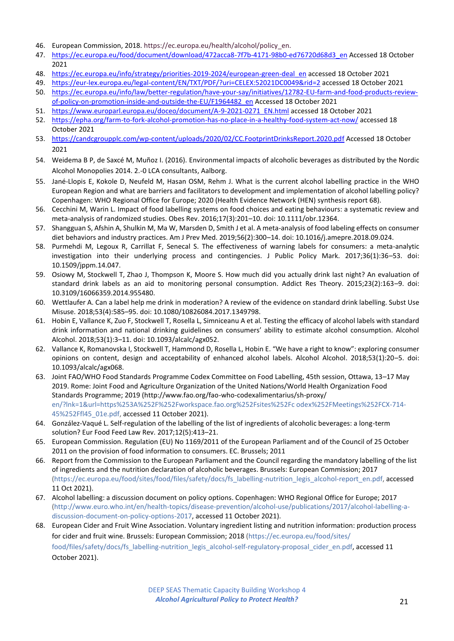- 46. European Commission, 2018. https://ec.europa.eu/health/alcohol/policy\_en.
- 47. [https://ec.europa.eu/food/document/download/472acca8-7f7b-4171-98b0-ed76720d68d3\\_en](https://ec.europa.eu/food/document/download/472acca8-7f7b-4171-98b0-ed76720d68d3_en) Accessed 18 October 2021
- 48. [https://ec.europa.eu/info/strategy/priorities-2019-2024/european-green-deal\\_en](https://ec.europa.eu/info/strategy/priorities-2019-2024/european-green-deal_en) accessed 18 October 2021
- 49. <https://eur-lex.europa.eu/legal-content/EN/TXT/PDF/?uri=CELEX:52021DC0049&rid=2> accessed 18 October 2021
- 50. [https://ec.europa.eu/info/law/better-regulation/have-your-say/initiatives/12782-EU-farm-and-food-products-review](https://ec.europa.eu/info/law/better-regulation/have-your-say/initiatives/12782-EU-farm-and-food-products-review-of-policy-on-promotion-inside-and-outside-the-EU/F1964482_en)[of-policy-on-promotion-inside-and-outside-the-EU/F1964482\\_en](https://ec.europa.eu/info/law/better-regulation/have-your-say/initiatives/12782-EU-farm-and-food-products-review-of-policy-on-promotion-inside-and-outside-the-EU/F1964482_en) Accessed 18 October 2021
- 51. [https://www.europarl.europa.eu/doceo/document/A-9-2021-0271\\_EN.html](https://www.europarl.europa.eu/doceo/document/A-9-2021-0271_EN.html) accessed 18 October 2021
- 52. <https://epha.org/farm-to-fork-alcohol-promotion-has-no-place-in-a-healthy-food-system-act-now/> accessed 18 October 2021
- 53. <https://candcgroupplc.com/wp-content/uploads/2020/02/CC.FootprintDrinksReport.2020.pdf> Accessed 18 October 2021
- 54. Weidema B P, de Saxcé M, Muñoz I. (2016). Environmental impacts of alcoholic beverages as distributed by the Nordic Alcohol Monopolies 2014. 2.-0 LCA consultants, Aalborg.
- 55. Jané-Llopis E, Kokole D, Neufeld M, Hasan OSM, Rehm J. What is the current alcohol labelling practice in the WHO European Region and what are barriers and facilitators to development and implementation of alcohol labelling policy? Copenhagen: WHO Regional Office for Europe; 2020 (Health Evidence Network (HEN) synthesis report 68).
- 56. Cecchini M, Warin L. Impact of food labelling systems on food choices and eating behaviours: a systematic review and meta-analysis of randomized studies. Obes Rev. 2016;17(3):201–10. doi: 10.1111/obr.12364.
- 57. Shangguan S, Afshin A, Shulkin M, Ma W, Marsden D, Smith J et al. A meta-analysis of food labeling effects on consumer diet behaviors and industry practices. Am J Prev Med. 2019;56(2):300–14. doi: 10.1016/j.amepre.2018.09.024.
- 58. Purmehdi M, Legoux R, Carrillat F, Senecal S. The effectiveness of warning labels for consumers: a meta-analytic investigation into their underlying process and contingencies. J Public Policy Mark. 2017;36(1):36–53. doi: 10.1509/jppm.14.047.
- 59. Osiowy M, Stockwell T, Zhao J, Thompson K, Moore S. How much did you actually drink last night? An evaluation of standard drink labels as an aid to monitoring personal consumption. Addict Res Theory. 2015;23(2):163–9. doi: 10.3109/16066359.2014.955480.
- 60. Wettlaufer A. Can a label help me drink in moderation? A review of the evidence on standard drink labelling. Subst Use Misuse. 2018;53(4):585–95. doi: 10.1080/10826084.2017.1349798.
- 61. Hobin E, Vallance K, Zuo F, Stockwell T, Rosella L, Simniceanu A et al. Testing the efficacy of alcohol labels with standard drink information and national drinking guidelines on consumers' ability to estimate alcohol consumption. Alcohol Alcohol. 2018;53(1):3–11. doi: 10.1093/alcalc/agx052.
- 62. Vallance K, Romanovska I, Stockwell T, Hammond D, Rosella L, Hobin E. "We have a right to know": exploring consumer opinions on content, design and acceptability of enhanced alcohol labels. Alcohol Alcohol. 2018;53(1):20–5. doi: 10.1093/alcalc/agx068.
- 63. Joint FAO/WHO Food Standards Programme Codex Committee on Food Labelling, 45th session, Ottawa, 13–17 May 2019. Rome: Joint Food and Agriculture Organization of the United Nations/World Health Organization Food Standards Programme; 2019 (http://www.fao.org/fao-who-codexalimentarius/sh-proxy/ en/?lnk=1&url=https%253A%252F%252Fworkspace.fao.org%252Fsites%252Fc odex%252FMeetings%252FCX-714- 45%252Ffl45\_01e.pdf, accessed 11 October 2021).
- 64. González-Vaqué L. Self-regulation of the labelling of the list of ingredients of alcoholic beverages: a long-term solution? Eur Food Feed Law Rev. 2017;12(5):413–21.
- 65. European Commission. Regulation (EU) No 1169/2011 of the European Parliament and of the Council of 25 October 2011 on the provision of food information to consumers. EC. Brussels; 2011
- 66. Report from the Commission to the European Parliament and the Council regarding the mandatory labelling of the list of ingredients and the nutrition declaration of alcoholic beverages. Brussels: European Commission; 2017 (https://ec.europa.eu/food/sites/food/files/safety/docs/fs\_labelling-nutrition\_legis\_alcohol-report\_en.pdf, accessed 11 Oct 2021).
- 67. Alcohol labelling: a discussion document on policy options. Copenhagen: WHO Regional Office for Europe; 2017 (http://www.euro.who.int/en/health-topics/disease-prevention/alcohol-use/publications/2017/alcohol-labelling-adiscussion-document-on-policy-options-2017, accessed 11 October 2021).
- 68. European Cider and Fruit Wine Association. Voluntary ingredient listing and nutrition information: production process for cider and fruit wine. Brussels: European Commission; 2018 (https://ec.europa.eu/food/sites/ food/files/safety/docs/fs\_labelling-nutrition\_legis\_alcohol-self-regulatory-proposal\_cider\_en.pdf, accessed 11 October 2021).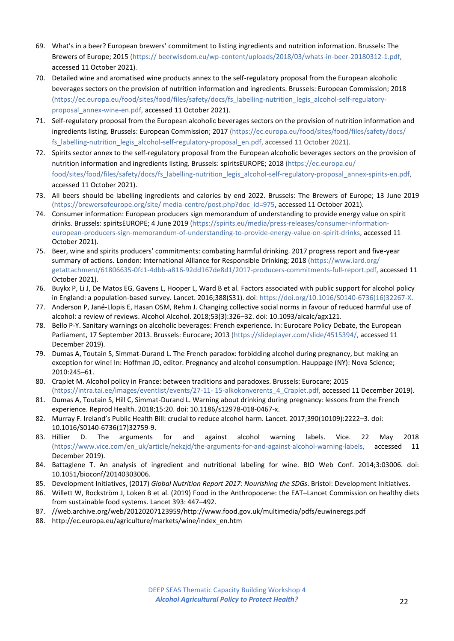- 69. What's in a beer? European brewers' commitment to listing ingredients and nutrition information. Brussels: The Brewers of Europe; 2015 (https:// beerwisdom.eu/wp-content/uploads/2018/03/whats-in-beer-20180312-1.pdf, accessed 11 October 2021).
- 70. Detailed wine and aromatised wine products annex to the self-regulatory proposal from the European alcoholic beverages sectors on the provision of nutrition information and ingredients. Brussels: European Commission; 2018 (https://ec.europa.eu/food/sites/food/files/safety/docs/fs\_labelling-nutrition\_legis\_alcohol-self-regulatoryproposal\_annex-wine-en.pdf, accessed 11 October 2021).
- 71. Self-regulatory proposal from the European alcoholic beverages sectors on the provision of nutrition information and ingredients listing. Brussels: European Commission; 2017 (https://ec.europa.eu/food/sites/food/files/safety/docs/ fs\_labelling-nutrition\_legis\_alcohol-self-regulatory-proposal\_en.pdf, accessed 11 October 2021).
- 72. Spirits sector annex to the self-regulatory proposal from the European alcoholic beverages sectors on the provision of nutrition information and ingredients listing. Brussels: spiritsEUROPE; 2018 (https://ec.europa.eu/ food/sites/food/files/safety/docs/fs\_labelling-nutrition\_legis\_alcohol-self-regulatory-proposal\_annex-spirits-en.pdf, accessed 11 October 2021).
- 73. All beers should be labelling ingredients and calories by end 2022. Brussels: The Brewers of Europe; 13 June 2019 (https://brewersofeurope.org/site/ media-centre/post.php?doc\_id=975, accessed 11 October 2021).
- 74. Consumer information: European producers sign memorandum of understanding to provide energy value on spirit drinks. Brussels: spiritsEUROPE; 4 June 2019 (https://spirits.eu/media/press-releases/consumer-informationeuropean-producers-sign-memorandum-of-understanding-to-provide-energy-value-on-spirit-drinks, accessed 11 October 2021).
- 75. Beer, wine and spirits producers' commitments: combating harmful drinking. 2017 progress report and five-year summary of actions. London: International Alliance for Responsible Drinking; 2018 (https://www.iard.org/ getattachment/61806635-0fc1-4dbb-a816-92dd167de8d1/2017-producers-commitments-full-report.pdf, accessed 11 October 2021).
- 76. Buykx P, Li J, De Matos EG, Gavens L, Hooper L, Ward B et al. Factors associated with public support for alcohol policy in England: a population-based survey. Lancet. 2016;388(S31). doi: https://doi.org/10.1016/S0140-6736(16)32267-X.
- 77. Anderson P, Jané-Llopis E, Hasan OSM, Rehm J. Changing collective social norms in favour of reduced harmful use of alcohol: a review of reviews. Alcohol Alcohol. 2018;53(3):326–32. doi: 10.1093/alcalc/agx121.
- 78. Bello P-Y. Sanitary warnings on alcoholic beverages: French experience. In: Eurocare Policy Debate, the European Parliament, 17 September 2013. Brussels: Eurocare; 2013 (https://slideplayer.com/slide/4515394/, accessed 11 December 2019).
- 79. Dumas A, Toutain S, Simmat-Durand L. The French paradox: forbidding alcohol during pregnancy, but making an exception for wine! In: Hoffman JD, editor. Pregnancy and alcohol consumption. Hauppage (NY): Nova Science; 2010:245–61.
- 80. Craplet M. Alcohol policy in France: between traditions and paradoxes. Brussels: Eurocare; 2015 (https://intra.tai.ee/images/eventlist/events/27-11- 15-alkokonverents\_4\_Craplet.pdf, accessed 11 December 2019).
- 81. Dumas A, Toutain S, Hill C, Simmat-Durand L. Warning about drinking during pregnancy: lessons from the French experience. Reprod Health. 2018;15:20. doi: 10.1186/s12978-018-0467-x.
- 82. Murray F. Ireland's Public Health Bill: crucial to reduce alcohol harm. Lancet. 2017;390(10109):2222–3. doi: 10.1016/S0140-6736(17)32759-9.
- 83. Hillier D. The arguments for and against alcohol warning labels. Vice. 22 May 2018 (https://www.vice.com/en\_uk/article/nekzjd/the-arguments-for-and-against-alcohol-warning-labels, accessed 11 December 2019).
- 84. Battaglene T. An analysis of ingredient and nutritional labeling for wine. BIO Web Conf. 2014;3:03006. doi: 10.1051/bioconf/20140303006.
- 85. Development Initiatives, (2017) *Global Nutrition Report 2017: Nourishing the SDGs*. Bristol: Development Initiatives.
- 86. Willett W, Rockström J, Loken B et al. (2019) Food in the Anthropocene: the EAT–Lancet Commission on healthy diets from sustainable food systems. Lancet 393: 447–492.
- 87. //web.archive.org/web/20120207123959/http://www.food.gov.uk/multimedia/pdfs/euwineregs.pdf
- 88. http://ec.europa.eu/agriculture/markets/wine/index\_en.htm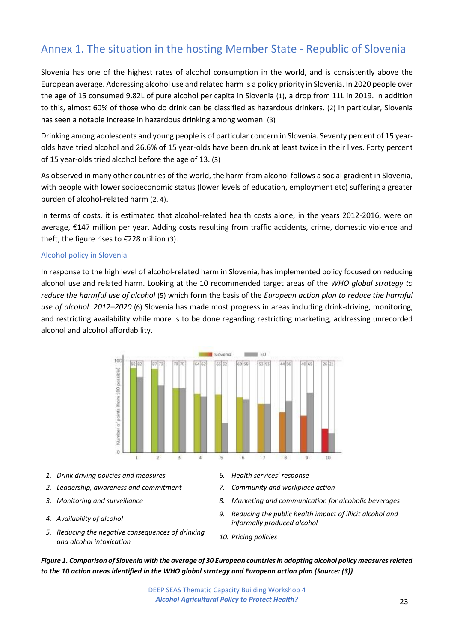# <span id="page-22-0"></span>Annex 1. The situation in the hosting Member State - Republic of Slovenia

Slovenia has one of the highest rates of alcohol consumption in the world, and is consistently above the European average. Addressing alcohol use and related harm is a policy priority in Slovenia. In 2020 people over the age of 15 consumed 9.82L of pure alcohol per capita in Slovenia (1), a drop from 11L in 2019. In addition to this, almost 60% of those who do drink can be classified as hazardous drinkers. (2) In particular, Slovenia has seen a notable increase in hazardous drinking among women. (3)

Drinking among adolescents and young people is of particular concern in Slovenia. Seventy percent of 15 yearolds have tried alcohol and 26.6% of 15 year-olds have been drunk at least twice in their lives. Forty percent of 15 year-olds tried alcohol before the age of 13. (3)

As observed in many other countries of the world, the harm from alcohol follows a social gradient in Slovenia, with people with lower socioeconomic status (lower levels of education, employment etc) suffering a greater burden of alcohol-related harm (2, 4).

In terms of costs, it is estimated that alcohol-related health costs alone, in the years 2012-2016, were on average, €147 million per year. Adding costs resulting from traffic accidents, crime, domestic violence and theft, the figure rises to €228 million (3).

#### Alcohol policy in Slovenia

In response to the high level of alcohol-related harm in Slovenia, has implemented policy focused on reducing alcohol use and related harm. Looking at the 10 recommended target areas of the *WHO global strategy to reduce the harmful use of alcohol* (5) which form the basis of the *European action plan to reduce the harmful use of alcohol 2012–2020* (6) Slovenia has made most progress in areas including drink-driving, monitoring, and restricting availability while more is to be done regarding restricting marketing, addressing unrecorded alcohol and alcohol affordability.



- *1. Drink driving policies and measures 6. Health services' response*
- *2. Leadership, awareness and commitment 7. Community and workplace action*
- 
- 
- *5. Reducing the negative consequences of drinking and alcohol intoxication 10. Pricing policies*
- 
- 
- *3. Monitoring and surveillance 8. Marketing and communication for alcoholic beverages*
- *4. Availability of alcohol 9. Reducing the public health impact of illicit alcohol and informally produced alcohol*
	-

*Figure 1. Comparison of Slovenia with the average of 30 European countries in adopting alcohol policy measures related to the 10 action areas identified in the WHO global strategy and European action plan (Source: (3))*

> DEEP SEAS Thematic Capacity Building Workshop 4 *Alcohol Agricultural Policy to Protect Health?* 23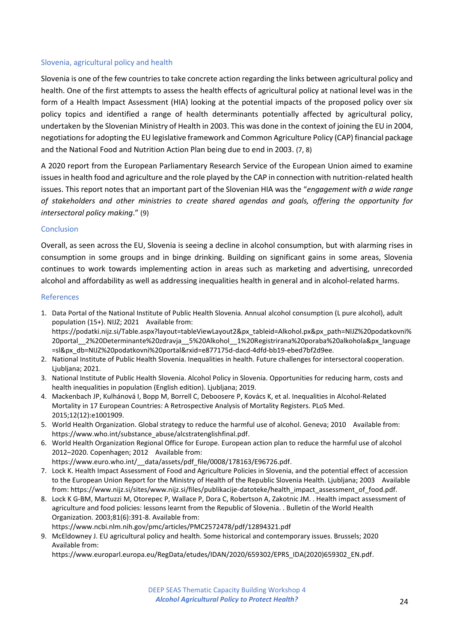#### Slovenia, agricultural policy and health

Slovenia is one of the few countries to take concrete action regarding the links between agricultural policy and health. One of the first attempts to assess the health effects of agricultural policy at national level was in the form of a Health Impact Assessment (HIA) looking at the potential impacts of the proposed policy over six policy topics and identified a range of health determinants potentially affected by agricultural policy, undertaken by the Slovenian Ministry of Health in 2003. This was done in the context of joining the EU in 2004, negotiations for adopting the EU legislative framework and Common Agriculture Policy (CAP) financial package and the National Food and Nutrition Action Plan being due to end in 2003. (7, 8)

A 2020 report from the European Parliamentary Research Service of the European Union aimed to examine issues in health food and agriculture and the role played by the CAP in connection with nutrition-related health issues. This report notes that an important part of the Slovenian HIA was the "*engagement with a wide range of stakeholders and other ministries to create shared agendas and goals, offering the opportunity for intersectoral policy making*." (9)

#### Conclusion

Overall, as seen across the EU, Slovenia is seeing a decline in alcohol consumption, but with alarming rises in consumption in some groups and in binge drinking. Building on significant gains in some areas, Slovenia continues to work towards implementing action in areas such as marketing and advertising, unrecorded alcohol and affordability as well as addressing inequalities health in general and in alcohol-related harms.

#### References

- 1. Data Portal of the National Institute of Public Health Slovenia. Annual alcohol consumption (L pure alcohol), adult population (15+). NIJZ; 2021 Available from: https://podatki.nijz.si/Table.aspx?layout=tableViewLayout2&px\_tableid=Alkohol.px&px\_path=NIJZ%20podatkovni% 20portal 2%20Determinante%20zdravja 5%20Alkohol 1%20Registrirana%20poraba%20alkohola&px language =sl&px\_db=NIJZ%20podatkovni%20portal&rxid=e877175d-dacd-4dfd-bb19-ebed7bf2d9ee.
- 2. National Institute of Public Health Slovenia. Inequalities in health. Future challenges for intersectoral cooperation. Ljubljana; 2021.
- 3. National Institute of Public Health Slovenia. Alcohol Policy in Slovenia. Opportunities for reducing harm, costs and health inequalities in population (English edition). Ljubljana; 2019.
- 4. Mackenbach JP, Kulhánová I, Bopp M, Borrell C, Deboosere P, Kovács K, et al. Inequalities in Alcohol-Related Mortality in 17 European Countries: A Retrospective Analysis of Mortality Registers. PLoS Med. 2015;12(12):e1001909.
- 5. World Health Organization. Global strategy to reduce the harmful use of alcohol. Geneva; 2010 Available from: https://www.who.int/substance\_abuse/alcstratenglishfinal.pdf.
- 6. World Health Organization Regional Office for Europe. European action plan to reduce the harmful use of alcohol 2012–2020. Copenhagen; 2012 Available from:
	- https://www.euro.who.int/\_\_data/assets/pdf\_file/0008/178163/E96726.pdf.
- 7. Lock K. Health Impact Assessment of Food and Agriculture Policies in Slovenia, and the potential effect of accession to the European Union Report for the Ministry of Health of the Republic Slovenia Health. Ljubljana; 2003 Available from: https://www.nijz.si/sites/www.nijz.si/files/publikacije-datoteke/health\_impact\_assessment\_of\_food.pdf.
- 8. Lock K G-BM, Martuzzi M, Otorepec P, Wallace P, Dora C, Robertson A, Zakotnic JM. . Health impact assessment of agriculture and food policies: lessons learnt from the Republic of Slovenia. . Bulletin of the World Health Organization. 2003;81(6):391-8. Available from: https://www.ncbi.nlm.nih.gov/pmc/articles/PMC2572478/pdf/12894321.pdf
- 9. McEldowney J. EU agricultural policy and health. Some historical and contemporary issues. Brussels; 2020 Available from:

https://www.europarl.europa.eu/RegData/etudes/IDAN/2020/659302/EPRS\_IDA(2020)659302\_EN.pdf.

DEEP SEAS Thematic Capacity Building Workshop 4 *Alcohol Agricultural Policy to Protect Health?* 24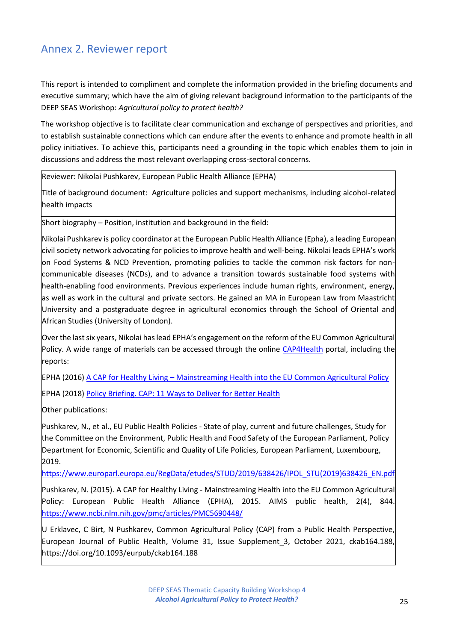# <span id="page-24-0"></span>Annex 2. Reviewer report

This report is intended to compliment and complete the information provided in the briefing documents and executive summary; which have the aim of giving relevant background information to the participants of the DEEP SEAS Workshop: *Agricultural policy to protect health?*

The workshop objective is to facilitate clear communication and exchange of perspectives and priorities, and to establish sustainable connections which can endure after the events to enhance and promote health in all policy initiatives. To achieve this, participants need a grounding in the topic which enables them to join in discussions and address the most relevant overlapping cross-sectoral concerns.

Reviewer: Nikolai Pushkarev, European Public Health Alliance (EPHA)

Title of background document: Agriculture policies and support mechanisms, including alcohol-related health impacts

Short biography – Position, institution and background in the field:

Nikolai Pushkarev is policy coordinator at the European Public Health Alliance (Epha), a leading European civil society network advocating for policies to improve health and well-being. Nikolai leads EPHA's work on Food Systems & NCD Prevention, promoting policies to tackle the common risk factors for noncommunicable diseases (NCDs), and to advance a transition towards sustainable food systems with health-enabling food environments. Previous experiences include human rights, environment, energy, as well as work in the cultural and private sectors. He gained an MA in European Law from Maastricht University and a postgraduate degree in agricultural economics through the School of Oriental and African Studies (University of London).

Over the last six years, Nikolai has lead EPHA's engagement on the reform of the EU Common Agricultural Policy. A wide range of materials can be accessed through the online [CAP4Health](https://epha.org/cap4health/) portal, including the reports:

EPHA (2016) A CAP for Healthy Living – [Mainstreaming Health into the EU Common Agricultural Policy](https://epha.org/report-a-cap-for-healthy-living/)

EPHA (2018) [Policy Briefing. CAP: 11 Ways to Deliver for Better Health](https://epha.org/cap4health-11-ways-to-deliver/)

Other publications:

Pushkarev, N., et al., EU Public Health Policies - State of play, current and future challenges, Study for the Committee on the Environment, Public Health and Food Safety of the European Parliament, Policy Department for Economic, Scientific and Quality of Life Policies, European Parliament, Luxembourg, 2019.

[https://www.europarl.europa.eu/RegData/etudes/STUD/2019/638426/IPOL\\_STU\(2019\)638426\\_EN.pdf](https://www.europarl.europa.eu/RegData/etudes/STUD/2019/638426/IPOL_STU(2019)638426_EN.pdf)

Pushkarev, N. (2015). A CAP for Healthy Living - [Mainstreaming Health into the EU Common Agricultural](https://webmail.clinic.cat/owa/redir.aspx?C=CwaNCL2_s1Oo4GfnfVqriIPGit9WRfv6qqhtX9Edaas0rXaPAprZCA..&URL=https%3a%2f%2feu-central-1.protection.sophos.com%3fd%3dnih.gov%26u%3daHR0cHM6Ly93d3cubmNiaS5ubG0ubmloLmdvdi9wbWMvYXJ0aWNsZXMvUE1DNTY5MDQ0OC8%3d%26i%3dNWZkYjRiODc3M2ZiN2EwZGZmZjA2NzE0%26t%3dcEExQldLVzdGdHlCNHNpUGlZNlk2NHFGUCt4bWRtQlRaWis1NVc4M1RqOD0%3d%26h%3daaf2965d63494aeaaed983aa399256dd)  [Policy:](https://webmail.clinic.cat/owa/redir.aspx?C=CwaNCL2_s1Oo4GfnfVqriIPGit9WRfv6qqhtX9Edaas0rXaPAprZCA..&URL=https%3a%2f%2feu-central-1.protection.sophos.com%3fd%3dnih.gov%26u%3daHR0cHM6Ly93d3cubmNiaS5ubG0ubmloLmdvdi9wbWMvYXJ0aWNsZXMvUE1DNTY5MDQ0OC8%3d%26i%3dNWZkYjRiODc3M2ZiN2EwZGZmZjA2NzE0%26t%3dcEExQldLVzdGdHlCNHNpUGlZNlk2NHFGUCt4bWRtQlRaWis1NVc4M1RqOD0%3d%26h%3daaf2965d63494aeaaed983aa399256dd) European Public Health Alliance (EPHA), 2015. AIMS public health, 2(4), 844. <https://www.ncbi.nlm.nih.gov/pmc/articles/PMC5690448/>

U Erklavec, C Birt, N Pushkarev, Common Agricultural Policy (CAP) from a Public Health Perspective, European Journal of Public Health, Volume 31, Issue Supplement\_3, October 2021, ckab164.188, <https://doi.org/10.1093/eurpub/ckab164.188>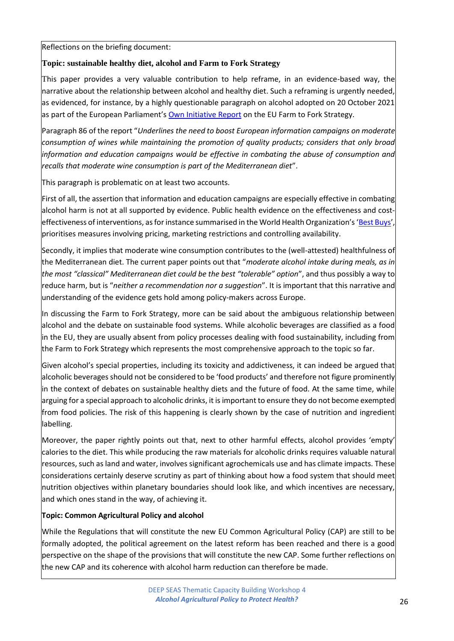Reflections on the briefing document:

## **Topic: sustainable healthy diet, alcohol and Farm to Fork Strategy**

This paper provides a very valuable contribution to help reframe, in an evidence-based way, the narrative about the relationship between alcohol and healthy diet. Such a reframing is urgently needed, as evidenced, for instance, by a highly questionable paragraph on alcohol adopted on 20 October 2021 as part of the European Parliament's [Own Initiative Report](https://www.europarl.europa.eu/doceo/document/TA-9-2021-0425_EN.html) on the EU Farm to Fork Strategy.

Paragraph 86 of the report "*Underlines the need to boost European information campaigns on moderate consumption of wines while maintaining the promotion of quality products; considers that only broad information and education campaigns would be effective in combating the abuse of consumption and recalls that moderate wine consumption is part of the Mediterranean diet*".

This paragraph is problematic on at least two accounts.

First of all, the assertion that information and education campaigns are especially effective in combating alcohol harm is not at all supported by evidence. Public health evidence on the effectiveness and cost-effectiveness of interventions, as for instance summarised in the World Health Organization's '[Best Buys](https://apps.who.int/iris/handle/10665/259232)' prioritises measures involving pricing, marketing restrictions and controlling availability.

Secondly, it implies that moderate wine consumption contributes to the (well-attested) healthfulness of the Mediterranean diet. The current paper points out that "*moderate alcohol intake during meals, as in the most "classical" Mediterranean diet could be the best "tolerable" option*", and thus possibly a way to reduce harm, but is "*neither a recommendation nor a suggestion*". It is important that this narrative and understanding of the evidence gets hold among policy-makers across Europe.

In discussing the Farm to Fork Strategy, more can be said about the ambiguous relationship between alcohol and the debate on sustainable food systems. While alcoholic beverages are classified as a food in the EU, they are usually absent from policy processes dealing with food sustainability, including from the Farm to Fork Strategy which represents the most comprehensive approach to the topic so far.

Given alcohol's special properties, including its toxicity and addictiveness, it can indeed be argued that alcoholic beverages should not be considered to be 'food products' and therefore not figure prominently in the context of debates on sustainable healthy diets and the future of food. At the same time, while arguing for a special approach to alcoholic drinks, it is important to ensure they do not become exempted from food policies. The risk of this happening is clearly shown by the case of nutrition and ingredient labelling.

Moreover, the paper rightly points out that, next to other harmful effects, alcohol provides 'empty' calories to the diet. This while producing the raw materials for alcoholic drinks requires valuable natural resources, such as land and water, involves significant agrochemicals use and has climate impacts. These considerations certainly deserve scrutiny as part of thinking about how a food system that should meet nutrition objectives within planetary boundaries should look like, and which incentives are necessary, and which ones stand in the way, of achieving it.

## **Topic: Common Agricultural Policy and alcohol**

While the Regulations that will constitute the new EU Common Agricultural Policy (CAP) are still to be formally adopted, the political agreement on the latest reform has been reached and there is a good perspective on the shape of the provisions that will constitute the new CAP. Some further reflections on the new CAP and its coherence with alcohol harm reduction can therefore be made.